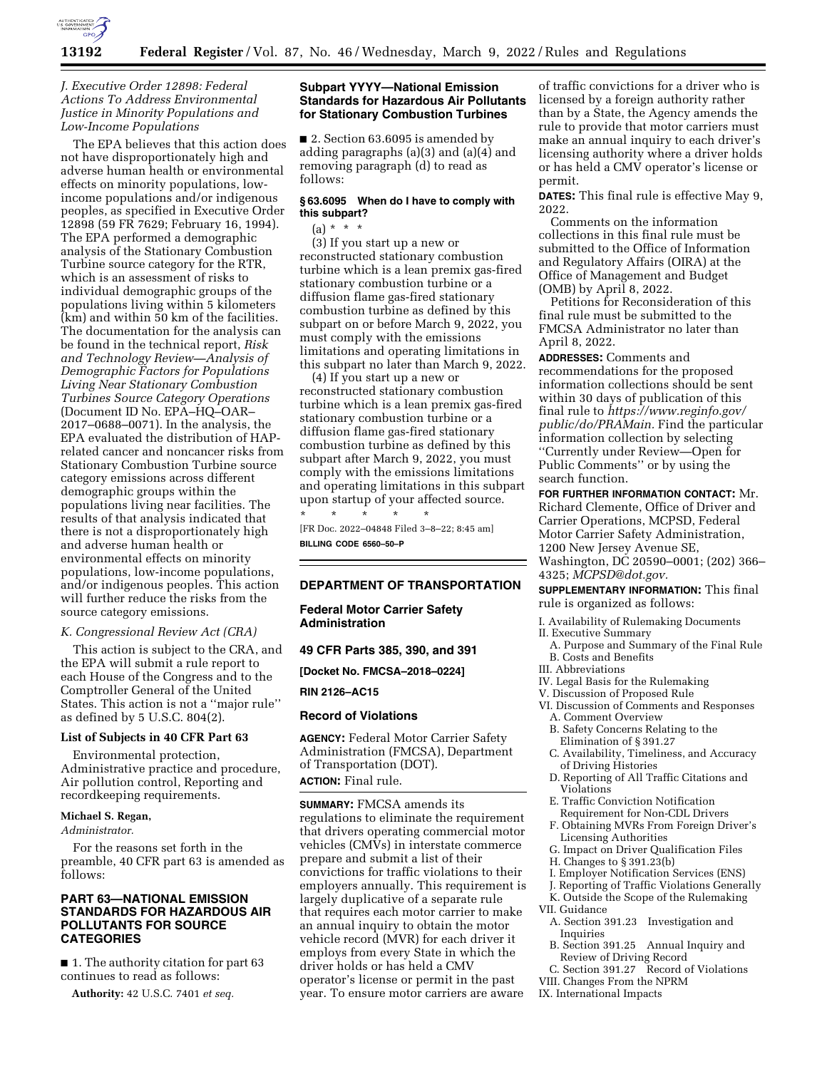

## *J. Executive Order 12898: Federal Actions To Address Environmental Justice in Minority Populations and Low-Income Populations*

The EPA believes that this action does not have disproportionately high and adverse human health or environmental effects on minority populations, lowincome populations and/or indigenous peoples, as specified in Executive Order 12898 (59 FR 7629; February 16, 1994). The EPA performed a demographic analysis of the Stationary Combustion Turbine source category for the RTR, which is an assessment of risks to individual demographic groups of the populations living within 5 kilometers (km) and within 50 km of the facilities. The documentation for the analysis can be found in the technical report, *Risk and Technology Review—Analysis of Demographic Factors for Populations Living Near Stationary Combustion Turbines Source Category Operations*  (Document ID No. EPA–HQ–OAR– 2017–0688–0071). In the analysis, the EPA evaluated the distribution of HAPrelated cancer and noncancer risks from Stationary Combustion Turbine source category emissions across different demographic groups within the populations living near facilities. The results of that analysis indicated that there is not a disproportionately high and adverse human health or environmental effects on minority populations, low-income populations, and/or indigenous peoples. This action will further reduce the risks from the source category emissions.

#### *K. Congressional Review Act (CRA)*

This action is subject to the CRA, and the EPA will submit a rule report to each House of the Congress and to the Comptroller General of the United States. This action is not a ''major rule'' as defined by 5 U.S.C. 804(2).

#### **List of Subjects in 40 CFR Part 63**

Environmental protection, Administrative practice and procedure, Air pollution control, Reporting and recordkeeping requirements.

#### **Michael S. Regan,**

*Administrator.* 

For the reasons set forth in the preamble, 40 CFR part 63 is amended as follows:

## **PART 63—NATIONAL EMISSION STANDARDS FOR HAZARDOUS AIR POLLUTANTS FOR SOURCE CATEGORIES**

■ 1. The authority citation for part 63 continues to read as follows:

**Authority:** 42 U.S.C. 7401 *et seq.* 

## **Subpart YYYY—National Emission Standards for Hazardous Air Pollutants for Stationary Combustion Turbines**

■ 2. Section 63.6095 is amended by adding paragraphs (a)(3) and (a)(4) and removing paragraph (d) to read as follows:

## **§ 63.6095 When do I have to comply with this subpart?**

# $(a) * * * *$

(3) If you start up a new or reconstructed stationary combustion turbine which is a lean premix gas-fired stationary combustion turbine or a diffusion flame gas-fired stationary combustion turbine as defined by this subpart on or before March 9, 2022, you must comply with the emissions limitations and operating limitations in this subpart no later than March 9, 2022.

(4) If you start up a new or reconstructed stationary combustion turbine which is a lean premix gas-fired stationary combustion turbine or a diffusion flame gas-fired stationary combustion turbine as defined by this subpart after March 9, 2022, you must comply with the emissions limitations and operating limitations in this subpart upon startup of your affected source. \* \* \* \* \*

[FR Doc. 2022–04848 Filed 3–8–22; 8:45 am] **BILLING CODE 6560–50–P** 

## **DEPARTMENT OF TRANSPORTATION**

**Federal Motor Carrier Safety Administration** 

#### **49 CFR Parts 385, 390, and 391**

**[Docket No. FMCSA–2018–0224]** 

**RIN 2126–AC15** 

#### **Record of Violations**

**AGENCY:** Federal Motor Carrier Safety Administration (FMCSA), Department of Transportation (DOT). **ACTION:** Final rule.

**SUMMARY:** FMCSA amends its regulations to eliminate the requirement that drivers operating commercial motor vehicles (CMVs) in interstate commerce prepare and submit a list of their convictions for traffic violations to their employers annually. This requirement is largely duplicative of a separate rule that requires each motor carrier to make an annual inquiry to obtain the motor vehicle record (MVR) for each driver it employs from every State in which the driver holds or has held a CMV operator's license or permit in the past year. To ensure motor carriers are aware

of traffic convictions for a driver who is licensed by a foreign authority rather than by a State, the Agency amends the rule to provide that motor carriers must make an annual inquiry to each driver's licensing authority where a driver holds or has held a CMV operator's license or permit.

**DATES:** This final rule is effective May 9, 2022.

Comments on the information collections in this final rule must be submitted to the Office of Information and Regulatory Affairs (OIRA) at the Office of Management and Budget (OMB) by April 8, 2022.

Petitions for Reconsideration of this final rule must be submitted to the FMCSA Administrator no later than April 8, 2022.

**ADDRESSES:** Comments and recommendations for the proposed information collections should be sent within 30 days of publication of this final rule to *[https://www.reginfo.gov/](https://www.reginfo.gov/public/do/PRAMain) [public/do/PRAMain.](https://www.reginfo.gov/public/do/PRAMain)* Find the particular information collection by selecting ''Currently under Review—Open for Public Comments'' or by using the search function.

## **FOR FURTHER INFORMATION CONTACT:** Mr.

Richard Clemente, Office of Driver and Carrier Operations, MCPSD, Federal Motor Carrier Safety Administration, 1200 New Jersey Avenue SE, Washington, DC 20590–0001; (202) 366–

4325; *[MCPSD@dot.gov.](mailto:MCPSD@dot.gov)*  **SUPPLEMENTARY INFORMATION:** This final

rule is organized as follows:

- I. Availability of Rulemaking Documents
- II. Executive Summary
- A. Purpose and Summary of the Final Rule B. Costs and Benefits
- III. Abbreviations
- IV. Legal Basis for the Rulemaking
- V. Discussion of Proposed Rule
- VI. Discussion of Comments and Responses A. Comment Overview
- 
- B. Safety Concerns Relating to the Elimination of § 391.27
- C. Availability, Timeliness, and Accuracy of Driving Histories
- D. Reporting of All Traffic Citations and Violations
- E. Traffic Conviction Notification
- Requirement for Non-CDL Drivers F. Obtaining MVRs From Foreign Driver's Licensing Authorities
- G. Impact on Driver Qualification Files
- H. Changes to § 391.23(b)
- I. Employer Notification Services (ENS)
- J. Reporting of Traffic Violations Generally
- K. Outside the Scope of the Rulemaking
- VII. Guidance
	- A. Section 391.23 Investigation and Inquiries
	- B. Section 391.25 Annual Inquiry and Review of Driving Record
- C. Section 391.27 Record of Violations VIII. Changes From the NPRM
- 
- IX. International Impacts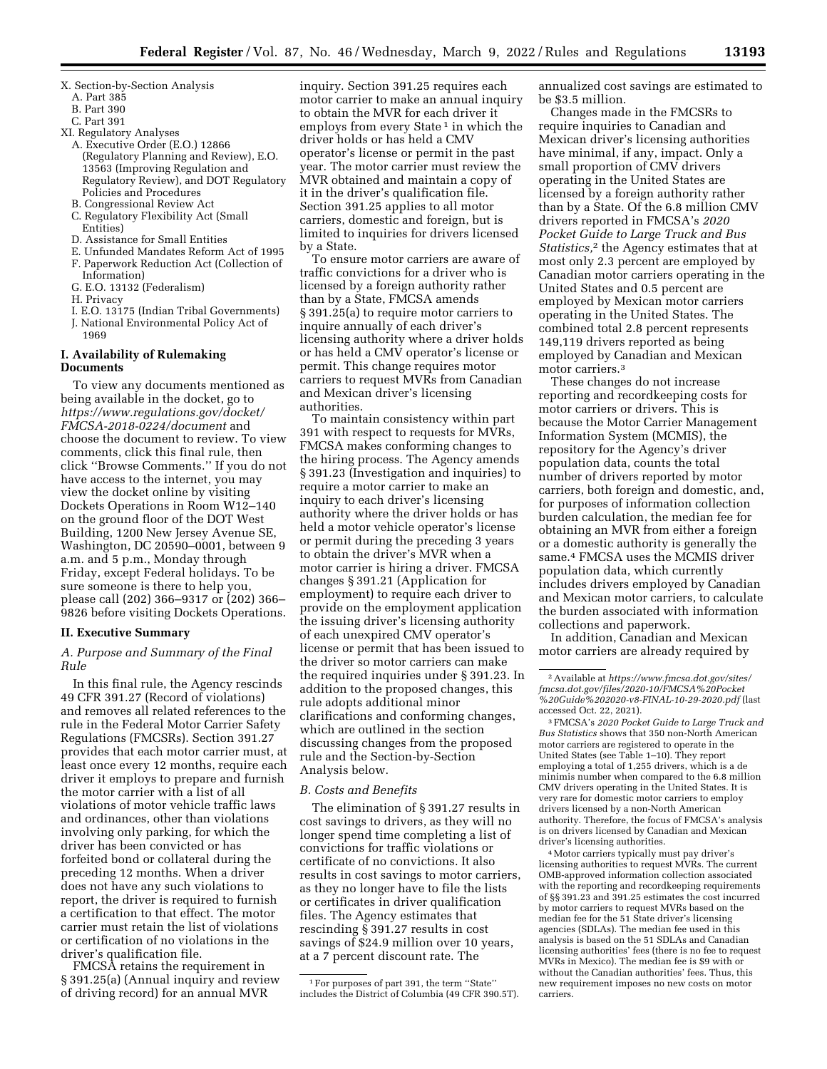- X. Section-by-Section Analysis
	- A. Part 385
	- B. Part 390
	- C. Part 391
- XI. Regulatory Analyses
	- A. Executive Order (E.O.) 12866 (Regulatory Planning and Review), E.O. 13563 (Improving Regulation and Regulatory Review), and DOT Regulatory Policies and Procedures
	- B. Congressional Review Act
	- C. Regulatory Flexibility Act (Small
	- Entities)
	- D. Assistance for Small Entities
	- E. Unfunded Mandates Reform Act of 1995
	- F. Paperwork Reduction Act (Collection of
	- Information) G. E.O. 13132 (Federalism)
	- H. Privacy
	-
	- I. E.O. 13175 (Indian Tribal Governments) J. National Environmental Policy Act of
	- 1969

## **I. Availability of Rulemaking Documents**

To view any documents mentioned as being available in the docket, go to *[https://www.regulations.gov/docket/](https://www.regulations.gov/docket/FMCSA-2018-0224/document)  [FMCSA-2018-0224/document](https://www.regulations.gov/docket/FMCSA-2018-0224/document)* and choose the document to review. To view comments, click this final rule, then click ''Browse Comments.'' If you do not have access to the internet, you may view the docket online by visiting Dockets Operations in Room W12–140 on the ground floor of the DOT West Building, 1200 New Jersey Avenue SE, Washington, DC 20590–0001, between 9 a.m. and 5 p.m., Monday through Friday, except Federal holidays. To be sure someone is there to help you, please call (202) 366–9317 or (202) 366– 9826 before visiting Dockets Operations.

#### **II. Executive Summary**

*A. Purpose and Summary of the Final Rule* 

In this final rule, the Agency rescinds 49 CFR 391.27 (Record of violations) and removes all related references to the rule in the Federal Motor Carrier Safety Regulations (FMCSRs). Section 391.27 provides that each motor carrier must, at least once every 12 months, require each driver it employs to prepare and furnish the motor carrier with a list of all violations of motor vehicle traffic laws and ordinances, other than violations involving only parking, for which the driver has been convicted or has forfeited bond or collateral during the preceding 12 months. When a driver does not have any such violations to report, the driver is required to furnish a certification to that effect. The motor carrier must retain the list of violations or certification of no violations in the driver's qualification file.

FMCSA retains the requirement in § 391.25(a) (Annual inquiry and review of driving record) for an annual MVR

inquiry. Section 391.25 requires each motor carrier to make an annual inquiry to obtain the MVR for each driver it employs from every State<sup>1</sup> in which the driver holds or has held a CMV operator's license or permit in the past year. The motor carrier must review the MVR obtained and maintain a copy of it in the driver's qualification file. Section 391.25 applies to all motor carriers, domestic and foreign, but is limited to inquiries for drivers licensed by a State.

To ensure motor carriers are aware of traffic convictions for a driver who is licensed by a foreign authority rather than by a State, FMCSA amends § 391.25(a) to require motor carriers to inquire annually of each driver's licensing authority where a driver holds or has held a CMV operator's license or permit. This change requires motor carriers to request MVRs from Canadian and Mexican driver's licensing authorities.

To maintain consistency within part 391 with respect to requests for MVRs, FMCSA makes conforming changes to the hiring process. The Agency amends § 391.23 (Investigation and inquiries) to require a motor carrier to make an inquiry to each driver's licensing authority where the driver holds or has held a motor vehicle operator's license or permit during the preceding 3 years to obtain the driver's MVR when a motor carrier is hiring a driver. FMCSA changes § 391.21 (Application for employment) to require each driver to provide on the employment application the issuing driver's licensing authority of each unexpired CMV operator's license or permit that has been issued to the driver so motor carriers can make the required inquiries under § 391.23. In addition to the proposed changes, this rule adopts additional minor clarifications and conforming changes, which are outlined in the section discussing changes from the proposed rule and the Section-by-Section Analysis below.

#### *B. Costs and Benefits*

The elimination of § 391.27 results in cost savings to drivers, as they will no longer spend time completing a list of convictions for traffic violations or certificate of no convictions. It also results in cost savings to motor carriers, as they no longer have to file the lists or certificates in driver qualification files. The Agency estimates that rescinding § 391.27 results in cost savings of \$24.9 million over 10 years, at a 7 percent discount rate. The

annualized cost savings are estimated to be \$3.5 million.

Changes made in the FMCSRs to require inquiries to Canadian and Mexican driver's licensing authorities have minimal, if any, impact. Only a small proportion of CMV drivers operating in the United States are licensed by a foreign authority rather than by a State. Of the 6.8 million CMV drivers reported in FMCSA's *2020 Pocket Guide to Large Truck and Bus Statistics,*2 the Agency estimates that at most only 2.3 percent are employed by Canadian motor carriers operating in the United States and 0.5 percent are employed by Mexican motor carriers operating in the United States. The combined total 2.8 percent represents 149,119 drivers reported as being employed by Canadian and Mexican motor carriers.3

These changes do not increase reporting and recordkeeping costs for motor carriers or drivers. This is because the Motor Carrier Management Information System (MCMIS), the repository for the Agency's driver population data, counts the total number of drivers reported by motor carriers, both foreign and domestic, and, for purposes of information collection burden calculation, the median fee for obtaining an MVR from either a foreign or a domestic authority is generally the same.4 FMCSA uses the MCMIS driver population data, which currently includes drivers employed by Canadian and Mexican motor carriers, to calculate the burden associated with information collections and paperwork.

In addition, Canadian and Mexican motor carriers are already required by

3FMCSA's *2020 Pocket Guide to Large Truck and Bus Statistics* shows that 350 non-North American motor carriers are registered to operate in the United States (see Table 1–10). They report employing a total of 1,255 drivers, which is a de minimis number when compared to the 6.8 million CMV drivers operating in the United States. It is very rare for domestic motor carriers to employ drivers licensed by a non-North American authority. Therefore, the focus of FMCSA's analysis is on drivers licensed by Canadian and Mexican driver's licensing authorities.

4Motor carriers typically must pay driver's licensing authorities to request MVRs. The current OMB-approved information collection associated with the reporting and recordkeeping requirements of §§ 391.23 and 391.25 estimates the cost incurred by motor carriers to request MVRs based on the median fee for the 51 State driver's licensing agencies (SDLAs). The median fee used in this analysis is based on the 51 SDLAs and Canadian licensing authorities' fees (there is no fee to request MVRs in Mexico). The median fee is \$9 with or without the Canadian authorities' fees. Thus, this new requirement imposes no new costs on motor carriers.

<sup>1</sup>For purposes of part 391, the term ''State'' includes the District of Columbia (49 CFR 390.5T).

<sup>2</sup>Available at *[https://www.fmcsa.dot.gov/sites/](https://www.fmcsa.dot.gov/sites/fmcsa.dot.gov/files/2020-10/FMCSA%20Pocket%20Guide%202020-v8-FINAL-10-29-2020.pdf) [fmcsa.dot.gov/files/2020-10/FMCSA%20Pocket](https://www.fmcsa.dot.gov/sites/fmcsa.dot.gov/files/2020-10/FMCSA%20Pocket%20Guide%202020-v8-FINAL-10-29-2020.pdf) [%20Guide%202020-v8-FINAL-10-29-2020.pdf](https://www.fmcsa.dot.gov/sites/fmcsa.dot.gov/files/2020-10/FMCSA%20Pocket%20Guide%202020-v8-FINAL-10-29-2020.pdf)* (last accessed Oct. 22, 2021).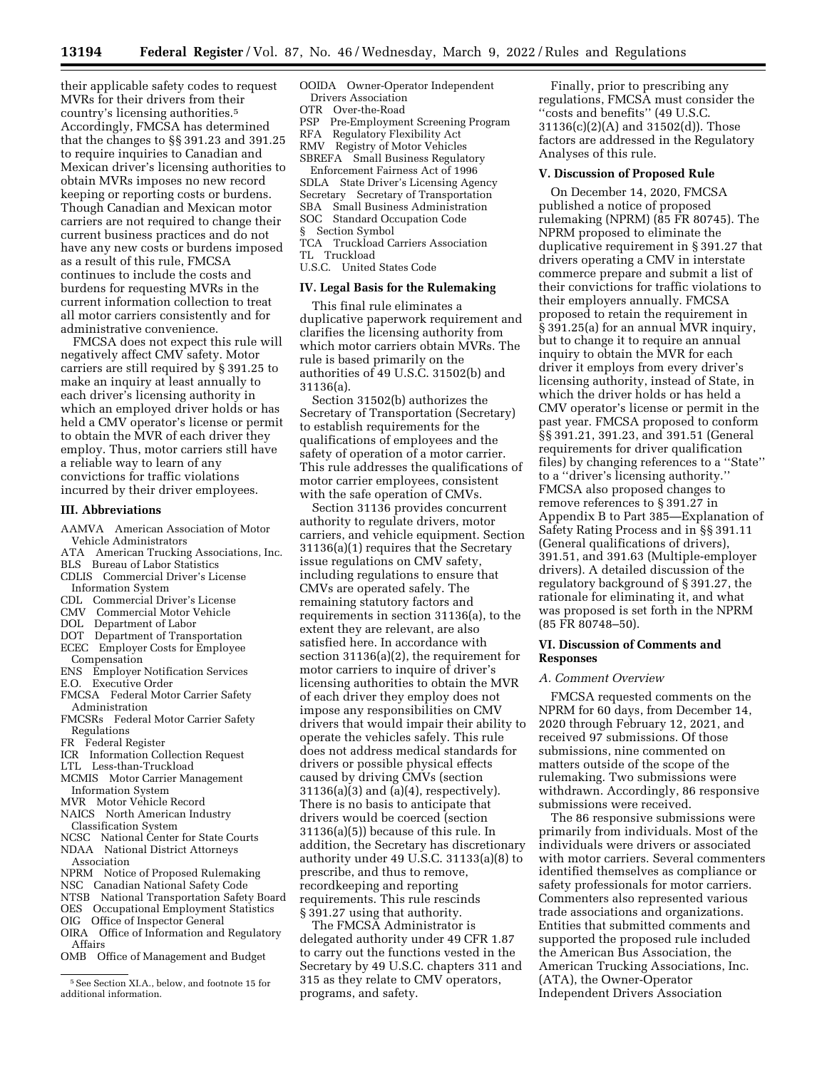their applicable safety codes to request MVRs for their drivers from their country's licensing authorities.5 Accordingly, FMCSA has determined that the changes to §§ 391.23 and 391.25 to require inquiries to Canadian and Mexican driver's licensing authorities to obtain MVRs imposes no new record keeping or reporting costs or burdens. Though Canadian and Mexican motor carriers are not required to change their current business practices and do not have any new costs or burdens imposed as a result of this rule, FMCSA continues to include the costs and burdens for requesting MVRs in the current information collection to treat all motor carriers consistently and for administrative convenience.

FMCSA does not expect this rule will negatively affect CMV safety. Motor carriers are still required by § 391.25 to make an inquiry at least annually to each driver's licensing authority in which an employed driver holds or has held a CMV operator's license or permit to obtain the MVR of each driver they employ. Thus, motor carriers still have a reliable way to learn of any convictions for traffic violations incurred by their driver employees.

#### **III. Abbreviations**

- AAMVA American Association of Motor Vehicle Administrators
- 
- ATA American Trucking Associations, Inc. BLS Bureau of Labor Statistics
- CDLIS Commercial Driver's License
- Information System
- 
- CDL Commercial Driver's License
- CMV Commercial Motor Vehicle DOL Department of Labor
- 
- DOT Department of Transportation ECEC Employer Costs for Employee **Compensation**
- ENS Employer Notification Services
- E.O. Executive Order
- FMCSA Federal Motor Carrier Safety Administration
- FMCSRs Federal Motor Carrier Safety Regulations
- FR Federal Register
- ICR Information Collection Request
- LTL Less-than-Truckload
- MCMIS Motor Carrier Management
- Information System
- MVR Motor Vehicle Record
- NAICS North American Industry
- Classification System NCSC National Center for State Courts
- NDAA National District Attorneys Association
- NPRM Notice of Proposed Rulemaking
- NSC Canadian National Safety Code
- NTSB National Transportation Safety Board
- OES Occupational Employment Statistics
- OIG Office of Inspector General
- OIRA Office of Information and Regulatory
- Affairs OMB Office of Management and Budget
- 

OOIDA Owner-Operator Independent Drivers Association

OTR Over-the-Road

- PSP Pre-Employment Screening Program
- RFA Regulatory Flexibility Act
- RMV Registry of Motor Vehicles
- SBREFA Small Business Regulatory Enforcement Fairness Act of 1996 SDLA State Driver's Licensing Agency
- Secretary Secretary of Transportation
- SBA Small Business Administration
- SOC Standard Occupation Code
- § Section Symbol
- TCA Truckload Carriers Association TL Truckload
- U.S.C. United States Code

#### **IV. Legal Basis for the Rulemaking**

This final rule eliminates a duplicative paperwork requirement and clarifies the licensing authority from which motor carriers obtain MVRs. The rule is based primarily on the authorities of 49 U.S.C. 31502(b) and 31136(a).

Section 31502(b) authorizes the Secretary of Transportation (Secretary) to establish requirements for the qualifications of employees and the safety of operation of a motor carrier. This rule addresses the qualifications of motor carrier employees, consistent with the safe operation of CMVs.

Section 31136 provides concurrent authority to regulate drivers, motor carriers, and vehicle equipment. Section 31136(a)(1) requires that the Secretary issue regulations on CMV safety, including regulations to ensure that CMVs are operated safely. The remaining statutory factors and requirements in section 31136(a), to the extent they are relevant, are also satisfied here. In accordance with section 31136(a)(2), the requirement for motor carriers to inquire of driver's licensing authorities to obtain the MVR of each driver they employ does not impose any responsibilities on CMV drivers that would impair their ability to operate the vehicles safely. This rule does not address medical standards for drivers or possible physical effects caused by driving CMVs (section 31136(a)(3) and (a)(4), respectively). There is no basis to anticipate that drivers would be coerced (section 31136(a)(5)) because of this rule. In addition, the Secretary has discretionary authority under 49 U.S.C. 31133(a)(8) to prescribe, and thus to remove, recordkeeping and reporting requirements. This rule rescinds § 391.27 using that authority.

The FMCSA Administrator is delegated authority under 49 CFR 1.87 to carry out the functions vested in the Secretary by 49 U.S.C. chapters 311 and 315 as they relate to CMV operators, programs, and safety.

Finally, prior to prescribing any regulations, FMCSA must consider the ''costs and benefits'' (49 U.S.C. 31136(c)(2)(A) and 31502(d)). Those factors are addressed in the Regulatory Analyses of this rule.

## **V. Discussion of Proposed Rule**

On December 14, 2020, FMCSA published a notice of proposed rulemaking (NPRM) (85 FR 80745). The NPRM proposed to eliminate the duplicative requirement in § 391.27 that drivers operating a CMV in interstate commerce prepare and submit a list of their convictions for traffic violations to their employers annually. FMCSA proposed to retain the requirement in § 391.25(a) for an annual MVR inquiry, but to change it to require an annual inquiry to obtain the MVR for each driver it employs from every driver's licensing authority, instead of State, in which the driver holds or has held a CMV operator's license or permit in the past year. FMCSA proposed to conform §§ 391.21, 391.23, and 391.51 (General requirements for driver qualification files) by changing references to a ''State'' to a ''driver's licensing authority.'' FMCSA also proposed changes to remove references to § 391.27 in Appendix B to Part 385—Explanation of Safety Rating Process and in §§ 391.11 (General qualifications of drivers), 391.51, and 391.63 (Multiple-employer drivers). A detailed discussion of the regulatory background of § 391.27, the rationale for eliminating it, and what was proposed is set forth in the NPRM (85 FR 80748–50).

#### **VI. Discussion of Comments and Responses**

## *A. Comment Overview*

FMCSA requested comments on the NPRM for 60 days, from December 14, 2020 through February 12, 2021, and received 97 submissions. Of those submissions, nine commented on matters outside of the scope of the rulemaking. Two submissions were withdrawn. Accordingly, 86 responsive submissions were received.

The 86 responsive submissions were primarily from individuals. Most of the individuals were drivers or associated with motor carriers. Several commenters identified themselves as compliance or safety professionals for motor carriers. Commenters also represented various trade associations and organizations. Entities that submitted comments and supported the proposed rule included the American Bus Association, the American Trucking Associations, Inc. (ATA), the Owner-Operator Independent Drivers Association

<sup>5</sup>See Section XI.A., below, and footnote 15 for additional information.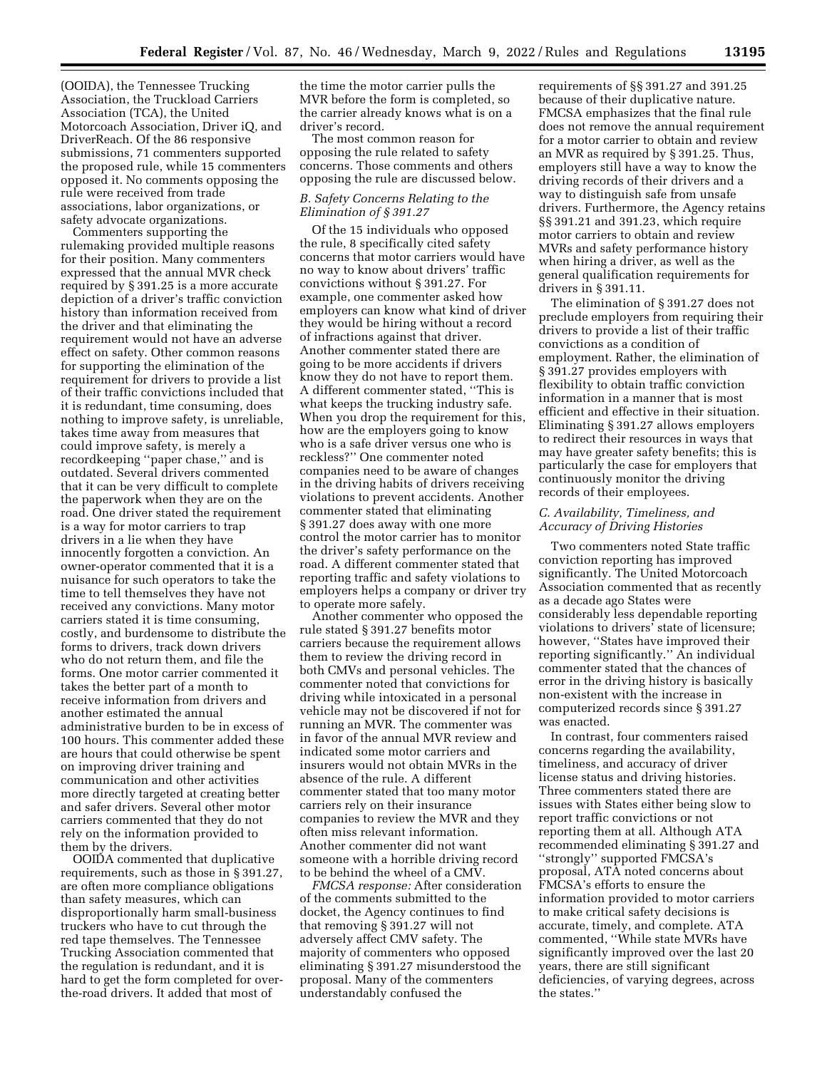(OOIDA), the Tennessee Trucking Association, the Truckload Carriers Association (TCA), the United Motorcoach Association, Driver iQ, and DriverReach. Of the 86 responsive submissions, 71 commenters supported the proposed rule, while 15 commenters opposed it. No comments opposing the rule were received from trade associations, labor organizations, or safety advocate organizations.

Commenters supporting the rulemaking provided multiple reasons for their position. Many commenters expressed that the annual MVR check required by § 391.25 is a more accurate depiction of a driver's traffic conviction history than information received from the driver and that eliminating the requirement would not have an adverse effect on safety. Other common reasons for supporting the elimination of the requirement for drivers to provide a list of their traffic convictions included that it is redundant, time consuming, does nothing to improve safety, is unreliable, takes time away from measures that could improve safety, is merely a recordkeeping ''paper chase,'' and is outdated. Several drivers commented that it can be very difficult to complete the paperwork when they are on the road. One driver stated the requirement is a way for motor carriers to trap drivers in a lie when they have innocently forgotten a conviction. An owner-operator commented that it is a nuisance for such operators to take the time to tell themselves they have not received any convictions. Many motor carriers stated it is time consuming, costly, and burdensome to distribute the forms to drivers, track down drivers who do not return them, and file the forms. One motor carrier commented it takes the better part of a month to receive information from drivers and another estimated the annual administrative burden to be in excess of 100 hours. This commenter added these are hours that could otherwise be spent on improving driver training and communication and other activities more directly targeted at creating better and safer drivers. Several other motor carriers commented that they do not rely on the information provided to them by the drivers.

OOIDA commented that duplicative requirements, such as those in § 391.27, are often more compliance obligations than safety measures, which can disproportionally harm small-business truckers who have to cut through the red tape themselves. The Tennessee Trucking Association commented that the regulation is redundant, and it is hard to get the form completed for overthe-road drivers. It added that most of

the time the motor carrier pulls the MVR before the form is completed, so the carrier already knows what is on a driver's record.

The most common reason for opposing the rule related to safety concerns. Those comments and others opposing the rule are discussed below.

## *B. Safety Concerns Relating to the Elimination of § 391.27*

Of the 15 individuals who opposed the rule, 8 specifically cited safety concerns that motor carriers would have no way to know about drivers' traffic convictions without § 391.27. For example, one commenter asked how employers can know what kind of driver they would be hiring without a record of infractions against that driver. Another commenter stated there are going to be more accidents if drivers know they do not have to report them. A different commenter stated, ''This is what keeps the trucking industry safe. When you drop the requirement for this, how are the employers going to know who is a safe driver versus one who is reckless?'' One commenter noted companies need to be aware of changes in the driving habits of drivers receiving violations to prevent accidents. Another commenter stated that eliminating § 391.27 does away with one more control the motor carrier has to monitor the driver's safety performance on the road. A different commenter stated that reporting traffic and safety violations to employers helps a company or driver try to operate more safely.

Another commenter who opposed the rule stated § 391.27 benefits motor carriers because the requirement allows them to review the driving record in both CMVs and personal vehicles. The commenter noted that convictions for driving while intoxicated in a personal vehicle may not be discovered if not for running an MVR. The commenter was in favor of the annual MVR review and indicated some motor carriers and insurers would not obtain MVRs in the absence of the rule. A different commenter stated that too many motor carriers rely on their insurance companies to review the MVR and they often miss relevant information. Another commenter did not want someone with a horrible driving record to be behind the wheel of a CMV.

*FMCSA response:* After consideration of the comments submitted to the docket, the Agency continues to find that removing § 391.27 will not adversely affect CMV safety. The majority of commenters who opposed eliminating § 391.27 misunderstood the proposal. Many of the commenters understandably confused the

requirements of §§ 391.27 and 391.25 because of their duplicative nature. FMCSA emphasizes that the final rule does not remove the annual requirement for a motor carrier to obtain and review an MVR as required by § 391.25. Thus, employers still have a way to know the driving records of their drivers and a way to distinguish safe from unsafe drivers. Furthermore, the Agency retains §§ 391.21 and 391.23, which require motor carriers to obtain and review MVRs and safety performance history when hiring a driver, as well as the general qualification requirements for drivers in § 391.11.

The elimination of § 391.27 does not preclude employers from requiring their drivers to provide a list of their traffic convictions as a condition of employment. Rather, the elimination of § 391.27 provides employers with flexibility to obtain traffic conviction information in a manner that is most efficient and effective in their situation. Eliminating § 391.27 allows employers to redirect their resources in ways that may have greater safety benefits; this is particularly the case for employers that continuously monitor the driving records of their employees.

## *C. Availability, Timeliness, and Accuracy of Driving Histories*

Two commenters noted State traffic conviction reporting has improved significantly. The United Motorcoach Association commented that as recently as a decade ago States were considerably less dependable reporting violations to drivers' state of licensure; however, ''States have improved their reporting significantly.'' An individual commenter stated that the chances of error in the driving history is basically non-existent with the increase in computerized records since § 391.27 was enacted.

In contrast, four commenters raised concerns regarding the availability, timeliness, and accuracy of driver license status and driving histories. Three commenters stated there are issues with States either being slow to report traffic convictions or not reporting them at all. Although ATA recommended eliminating § 391.27 and ''strongly'' supported FMCSA's proposal, ATA noted concerns about FMCSA's efforts to ensure the information provided to motor carriers to make critical safety decisions is accurate, timely, and complete. ATA commented, ''While state MVRs have significantly improved over the last 20 years, there are still significant deficiencies, of varying degrees, across the states.''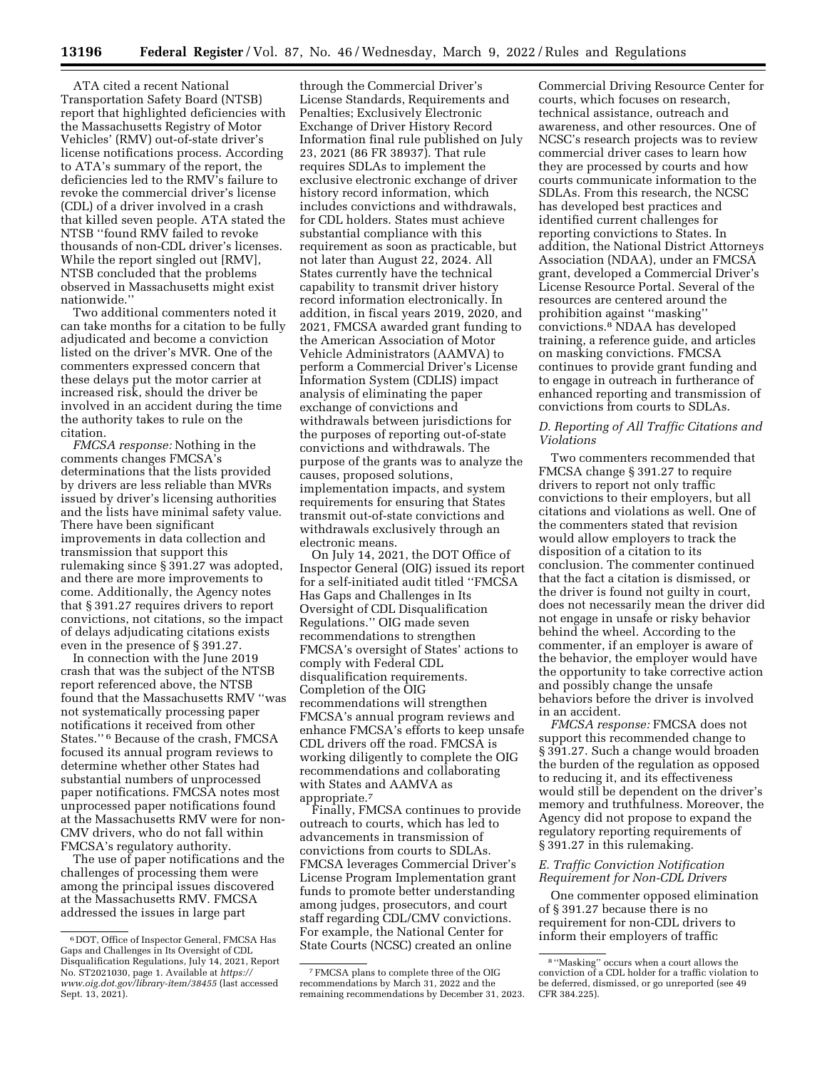ATA cited a recent National Transportation Safety Board (NTSB) report that highlighted deficiencies with the Massachusetts Registry of Motor Vehicles' (RMV) out-of-state driver's license notifications process. According to ATA's summary of the report, the deficiencies led to the RMV's failure to revoke the commercial driver's license (CDL) of a driver involved in a crash that killed seven people. ATA stated the NTSB ''found RMV failed to revoke thousands of non-CDL driver's licenses. While the report singled out [RMV], NTSB concluded that the problems observed in Massachusetts might exist nationwide.''

Two additional commenters noted it can take months for a citation to be fully adjudicated and become a conviction listed on the driver's MVR. One of the commenters expressed concern that these delays put the motor carrier at increased risk, should the driver be involved in an accident during the time the authority takes to rule on the citation.

*FMCSA response:* Nothing in the comments changes FMCSA's determinations that the lists provided by drivers are less reliable than MVRs issued by driver's licensing authorities and the lists have minimal safety value. There have been significant improvements in data collection and transmission that support this rulemaking since § 391.27 was adopted, and there are more improvements to come. Additionally, the Agency notes that § 391.27 requires drivers to report convictions, not citations, so the impact of delays adjudicating citations exists even in the presence of § 391.27.

In connection with the June 2019 crash that was the subject of the NTSB report referenced above, the NTSB found that the Massachusetts RMV ''was not systematically processing paper notifications it received from other States.'' 6 Because of the crash, FMCSA focused its annual program reviews to determine whether other States had substantial numbers of unprocessed paper notifications. FMCSA notes most unprocessed paper notifications found at the Massachusetts RMV were for non-CMV drivers, who do not fall within FMCSA's regulatory authority.

The use of paper notifications and the challenges of processing them were among the principal issues discovered at the Massachusetts RMV. FMCSA addressed the issues in large part

through the Commercial Driver's License Standards, Requirements and Penalties; Exclusively Electronic Exchange of Driver History Record Information final rule published on July 23, 2021 (86 FR 38937). That rule requires SDLAs to implement the exclusive electronic exchange of driver history record information, which includes convictions and withdrawals, for CDL holders. States must achieve substantial compliance with this requirement as soon as practicable, but not later than August 22, 2024. All States currently have the technical capability to transmit driver history record information electronically. In addition, in fiscal years 2019, 2020, and 2021, FMCSA awarded grant funding to the American Association of Motor Vehicle Administrators (AAMVA) to perform a Commercial Driver's License Information System (CDLIS) impact analysis of eliminating the paper exchange of convictions and withdrawals between jurisdictions for the purposes of reporting out-of-state convictions and withdrawals. The purpose of the grants was to analyze the causes, proposed solutions, implementation impacts, and system requirements for ensuring that States transmit out-of-state convictions and withdrawals exclusively through an electronic means.

On July 14, 2021, the DOT Office of Inspector General (OIG) issued its report for a self-initiated audit titled ''FMCSA Has Gaps and Challenges in Its Oversight of CDL Disqualification Regulations.'' OIG made seven recommendations to strengthen FMCSA's oversight of States' actions to comply with Federal CDL disqualification requirements. Completion of the OIG recommendations will strengthen FMCSA's annual program reviews and enhance FMCSA's efforts to keep unsafe CDL drivers off the road. FMCSA is working diligently to complete the OIG recommendations and collaborating with States and AAMVA as appropriate.7

Finally, FMCSA continues to provide outreach to courts, which has led to advancements in transmission of convictions from courts to SDLAs. FMCSA leverages Commercial Driver's License Program Implementation grant funds to promote better understanding among judges, prosecutors, and court staff regarding CDL/CMV convictions. For example, the National Center for State Courts (NCSC) created an online

Commercial Driving Resource Center for courts, which focuses on research, technical assistance, outreach and awareness, and other resources. One of NCSC's research projects was to review commercial driver cases to learn how they are processed by courts and how courts communicate information to the SDLAs. From this research, the NCSC has developed best practices and identified current challenges for reporting convictions to States. In addition, the National District Attorneys Association (NDAA), under an FMCSA grant, developed a Commercial Driver's License Resource Portal. Several of the resources are centered around the prohibition against ''masking'' convictions.8 NDAA has developed training, a reference guide, and articles on masking convictions. FMCSA continues to provide grant funding and to engage in outreach in furtherance of enhanced reporting and transmission of convictions from courts to SDLAs.

## *D. Reporting of All Traffic Citations and Violations*

Two commenters recommended that FMCSA change § 391.27 to require drivers to report not only traffic convictions to their employers, but all citations and violations as well. One of the commenters stated that revision would allow employers to track the disposition of a citation to its conclusion. The commenter continued that the fact a citation is dismissed, or the driver is found not guilty in court, does not necessarily mean the driver did not engage in unsafe or risky behavior behind the wheel. According to the commenter, if an employer is aware of the behavior, the employer would have the opportunity to take corrective action and possibly change the unsafe behaviors before the driver is involved in an accident.

*FMCSA response:* FMCSA does not support this recommended change to § 391.27. Such a change would broaden the burden of the regulation as opposed to reducing it, and its effectiveness would still be dependent on the driver's memory and truthfulness. Moreover, the Agency did not propose to expand the regulatory reporting requirements of § 391.27 in this rulemaking.

## *E. Traffic Conviction Notification Requirement for Non-CDL Drivers*

One commenter opposed elimination of § 391.27 because there is no requirement for non-CDL drivers to inform their employers of traffic

<sup>6</sup> DOT, Office of Inspector General, FMCSA Has Gaps and Challenges in Its Oversight of CDL Disqualification Regulations, July 14, 2021, Report No. ST2021030, page 1. Available at *[https://](https://www.oig.dot.gov/library-item/38455) [www.oig.dot.gov/library-item/38455](https://www.oig.dot.gov/library-item/38455)* (last accessed Sept. 13, 2021).

<sup>7</sup>FMCSA plans to complete three of the OIG recommendations by March 31, 2022 and the remaining recommendations by December 31, 2023.

<sup>8</sup> ''Masking'' occurs when a court allows the conviction of a CDL holder for a traffic violation to be deferred, dismissed, or go unreported (see 49 CFR 384.225).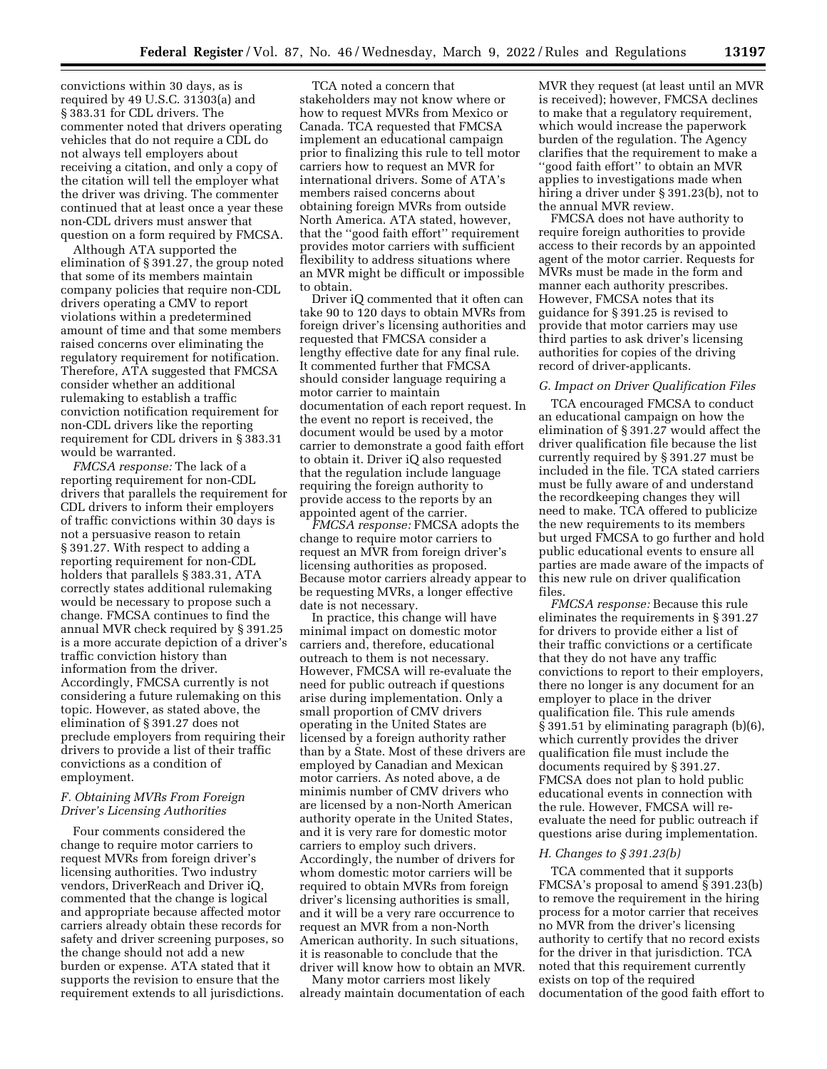convictions within 30 days, as is required by 49 U.S.C. 31303(a) and § 383.31 for CDL drivers. The commenter noted that drivers operating vehicles that do not require a CDL do not always tell employers about receiving a citation, and only a copy of the citation will tell the employer what the driver was driving. The commenter continued that at least once a year these non-CDL drivers must answer that question on a form required by FMCSA.

Although ATA supported the elimination of § 391.27, the group noted that some of its members maintain company policies that require non-CDL drivers operating a CMV to report violations within a predetermined amount of time and that some members raised concerns over eliminating the regulatory requirement for notification. Therefore, ATA suggested that FMCSA consider whether an additional rulemaking to establish a traffic conviction notification requirement for non-CDL drivers like the reporting requirement for CDL drivers in § 383.31 would be warranted.

*FMCSA response:* The lack of a reporting requirement for non-CDL drivers that parallels the requirement for CDL drivers to inform their employers of traffic convictions within 30 days is not a persuasive reason to retain § 391.27. With respect to adding a reporting requirement for non-CDL holders that parallels § 383.31, ATA correctly states additional rulemaking would be necessary to propose such a change. FMCSA continues to find the annual MVR check required by § 391.25 is a more accurate depiction of a driver's traffic conviction history than information from the driver. Accordingly, FMCSA currently is not considering a future rulemaking on this topic. However, as stated above, the elimination of § 391.27 does not preclude employers from requiring their drivers to provide a list of their traffic convictions as a condition of employment.

## *F. Obtaining MVRs From Foreign Driver's Licensing Authorities*

Four comments considered the change to require motor carriers to request MVRs from foreign driver's licensing authorities. Two industry vendors, DriverReach and Driver iQ, commented that the change is logical and appropriate because affected motor carriers already obtain these records for safety and driver screening purposes, so the change should not add a new burden or expense. ATA stated that it supports the revision to ensure that the requirement extends to all jurisdictions.

TCA noted a concern that stakeholders may not know where or how to request MVRs from Mexico or Canada. TCA requested that FMCSA implement an educational campaign prior to finalizing this rule to tell motor carriers how to request an MVR for international drivers. Some of ATA's members raised concerns about obtaining foreign MVRs from outside North America. ATA stated, however, that the ''good faith effort'' requirement provides motor carriers with sufficient flexibility to address situations where an MVR might be difficult or impossible to obtain.

Driver iQ commented that it often can take 90 to 120 days to obtain MVRs from foreign driver's licensing authorities and requested that FMCSA consider a lengthy effective date for any final rule. It commented further that FMCSA should consider language requiring a motor carrier to maintain documentation of each report request. In the event no report is received, the document would be used by a motor carrier to demonstrate a good faith effort to obtain it. Driver iQ also requested that the regulation include language requiring the foreign authority to provide access to the reports by an appointed agent of the carrier.

*FMCSA response:* FMCSA adopts the change to require motor carriers to request an MVR from foreign driver's licensing authorities as proposed. Because motor carriers already appear to be requesting MVRs, a longer effective date is not necessary.

In practice, this change will have minimal impact on domestic motor carriers and, therefore, educational outreach to them is not necessary. However, FMCSA will re-evaluate the need for public outreach if questions arise during implementation. Only a small proportion of CMV drivers operating in the United States are licensed by a foreign authority rather than by a State. Most of these drivers are employed by Canadian and Mexican motor carriers. As noted above, a de minimis number of CMV drivers who are licensed by a non-North American authority operate in the United States, and it is very rare for domestic motor carriers to employ such drivers. Accordingly, the number of drivers for whom domestic motor carriers will be required to obtain MVRs from foreign driver's licensing authorities is small, and it will be a very rare occurrence to request an MVR from a non-North American authority. In such situations, it is reasonable to conclude that the driver will know how to obtain an MVR.

Many motor carriers most likely already maintain documentation of each MVR they request (at least until an MVR is received); however, FMCSA declines to make that a regulatory requirement, which would increase the paperwork burden of the regulation. The Agency clarifies that the requirement to make a "good faith effort" to obtain an MVR applies to investigations made when hiring a driver under § 391.23(b), not to the annual MVR review.

FMCSA does not have authority to require foreign authorities to provide access to their records by an appointed agent of the motor carrier. Requests for MVRs must be made in the form and manner each authority prescribes. However, FMCSA notes that its guidance for § 391.25 is revised to provide that motor carriers may use third parties to ask driver's licensing authorities for copies of the driving record of driver-applicants.

## *G. Impact on Driver Qualification Files*

TCA encouraged FMCSA to conduct an educational campaign on how the elimination of § 391.27 would affect the driver qualification file because the list currently required by § 391.27 must be included in the file. TCA stated carriers must be fully aware of and understand the recordkeeping changes they will need to make. TCA offered to publicize the new requirements to its members but urged FMCSA to go further and hold public educational events to ensure all parties are made aware of the impacts of this new rule on driver qualification files.

*FMCSA response:* Because this rule eliminates the requirements in § 391.27 for drivers to provide either a list of their traffic convictions or a certificate that they do not have any traffic convictions to report to their employers, there no longer is any document for an employer to place in the driver qualification file. This rule amends § 391.51 by eliminating paragraph (b)(6), which currently provides the driver qualification file must include the documents required by § 391.27. FMCSA does not plan to hold public educational events in connection with the rule. However, FMCSA will reevaluate the need for public outreach if questions arise during implementation.

#### *H. Changes to § 391.23(b)*

TCA commented that it supports FMCSA's proposal to amend § 391.23(b) to remove the requirement in the hiring process for a motor carrier that receives no MVR from the driver's licensing authority to certify that no record exists for the driver in that jurisdiction. TCA noted that this requirement currently exists on top of the required documentation of the good faith effort to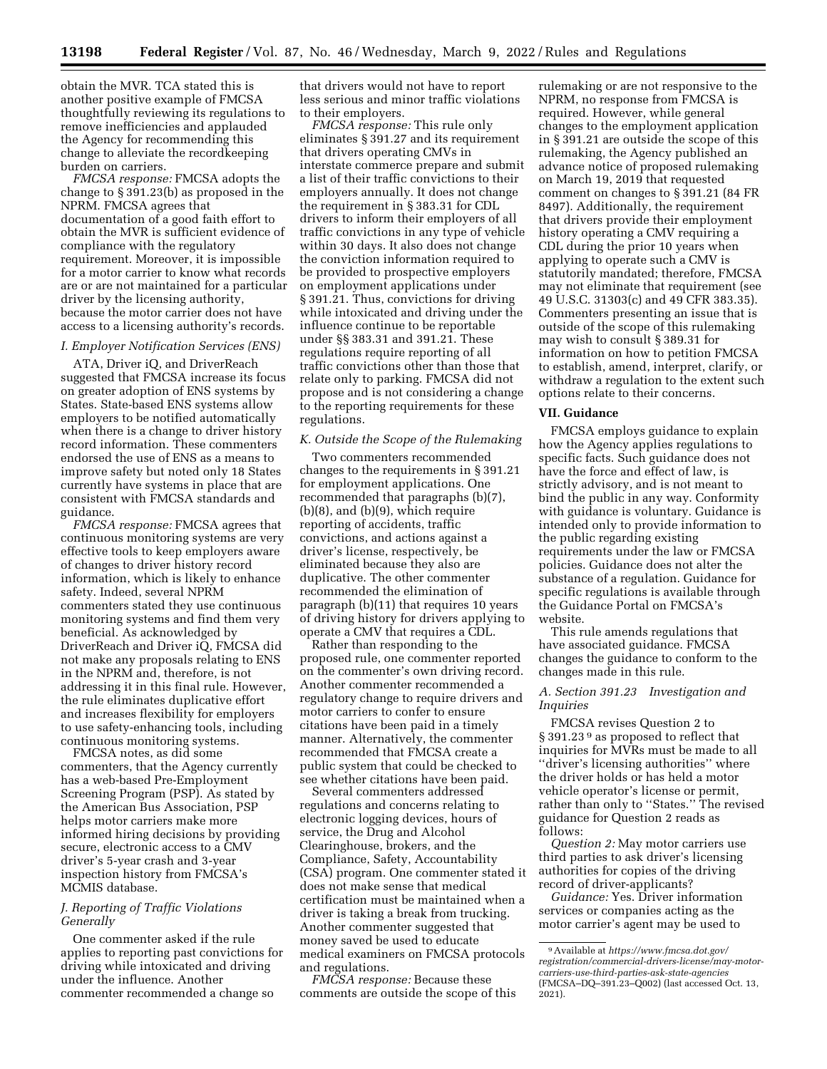obtain the MVR. TCA stated this is another positive example of FMCSA thoughtfully reviewing its regulations to remove inefficiencies and applauded the Agency for recommending this change to alleviate the recordkeeping burden on carriers.

*FMCSA response:* FMCSA adopts the change to § 391.23(b) as proposed in the NPRM. FMCSA agrees that documentation of a good faith effort to obtain the MVR is sufficient evidence of compliance with the regulatory requirement. Moreover, it is impossible for a motor carrier to know what records are or are not maintained for a particular driver by the licensing authority, because the motor carrier does not have access to a licensing authority's records.

## *I. Employer Notification Services (ENS)*

ATA, Driver iQ, and DriverReach suggested that FMCSA increase its focus on greater adoption of ENS systems by States. State-based ENS systems allow employers to be notified automatically when there is a change to driver history record information. These commenters endorsed the use of ENS as a means to improve safety but noted only 18 States currently have systems in place that are consistent with FMCSA standards and guidance.

*FMCSA response:* FMCSA agrees that continuous monitoring systems are very effective tools to keep employers aware of changes to driver history record information, which is likely to enhance safety. Indeed, several NPRM commenters stated they use continuous monitoring systems and find them very beneficial. As acknowledged by DriverReach and Driver iQ, FMCSA did not make any proposals relating to ENS in the NPRM and, therefore, is not addressing it in this final rule. However, the rule eliminates duplicative effort and increases flexibility for employers to use safety-enhancing tools, including continuous monitoring systems.

FMCSA notes, as did some commenters, that the Agency currently has a web-based Pre-Employment Screening Program (PSP). As stated by the American Bus Association, PSP helps motor carriers make more informed hiring decisions by providing secure, electronic access to a CMV driver's 5-year crash and 3-year inspection history from FMCSA's MCMIS database.

## *J. Reporting of Traffic Violations Generally*

One commenter asked if the rule applies to reporting past convictions for driving while intoxicated and driving under the influence. Another commenter recommended a change so

that drivers would not have to report less serious and minor traffic violations to their employers.

*FMCSA response:* This rule only eliminates § 391.27 and its requirement that drivers operating CMVs in interstate commerce prepare and submit a list of their traffic convictions to their employers annually. It does not change the requirement in § 383.31 for CDL drivers to inform their employers of all traffic convictions in any type of vehicle within 30 days. It also does not change the conviction information required to be provided to prospective employers on employment applications under § 391.21. Thus, convictions for driving while intoxicated and driving under the influence continue to be reportable under §§ 383.31 and 391.21. These regulations require reporting of all traffic convictions other than those that relate only to parking. FMCSA did not propose and is not considering a change to the reporting requirements for these regulations.

#### *K. Outside the Scope of the Rulemaking*

Two commenters recommended changes to the requirements in § 391.21 for employment applications. One recommended that paragraphs (b)(7), (b)(8), and (b)(9), which require reporting of accidents, traffic convictions, and actions against a driver's license, respectively, be eliminated because they also are duplicative. The other commenter recommended the elimination of paragraph (b)(11) that requires 10 years of driving history for drivers applying to operate a CMV that requires a CDL.

Rather than responding to the proposed rule, one commenter reported on the commenter's own driving record. Another commenter recommended a regulatory change to require drivers and motor carriers to confer to ensure citations have been paid in a timely manner. Alternatively, the commenter recommended that FMCSA create a public system that could be checked to see whether citations have been paid.

Several commenters addressed regulations and concerns relating to electronic logging devices, hours of service, the Drug and Alcohol Clearinghouse, brokers, and the Compliance, Safety, Accountability (CSA) program. One commenter stated it does not make sense that medical certification must be maintained when a driver is taking a break from trucking. Another commenter suggested that money saved be used to educate medical examiners on FMCSA protocols and regulations.

*FMCSA response:* Because these comments are outside the scope of this

rulemaking or are not responsive to the NPRM, no response from FMCSA is required. However, while general changes to the employment application in § 391.21 are outside the scope of this rulemaking, the Agency published an advance notice of proposed rulemaking on March 19, 2019 that requested comment on changes to § 391.21 (84 FR 8497). Additionally, the requirement that drivers provide their employment history operating a CMV requiring a CDL during the prior 10 years when applying to operate such a CMV is statutorily mandated; therefore, FMCSA may not eliminate that requirement (see 49 U.S.C. 31303(c) and 49 CFR 383.35). Commenters presenting an issue that is outside of the scope of this rulemaking may wish to consult § 389.31 for information on how to petition FMCSA to establish, amend, interpret, clarify, or withdraw a regulation to the extent such options relate to their concerns.

#### **VII. Guidance**

FMCSA employs guidance to explain how the Agency applies regulations to specific facts. Such guidance does not have the force and effect of law, is strictly advisory, and is not meant to bind the public in any way. Conformity with guidance is voluntary. Guidance is intended only to provide information to the public regarding existing requirements under the law or FMCSA policies. Guidance does not alter the substance of a regulation. Guidance for specific regulations is available through the Guidance Portal on FMCSA's website.

This rule amends regulations that have associated guidance. FMCSA changes the guidance to conform to the changes made in this rule.

#### *A. Section 391.23 Investigation and Inquiries*

FMCSA revises Question 2 to § 391.23 9 as proposed to reflect that inquiries for MVRs must be made to all ''driver's licensing authorities'' where the driver holds or has held a motor vehicle operator's license or permit, rather than only to ''States.'' The revised guidance for Question 2 reads as follows:

*Question 2:* May motor carriers use third parties to ask driver's licensing authorities for copies of the driving record of driver-applicants?

*Guidance:* Yes. Driver information services or companies acting as the motor carrier's agent may be used to

<sup>9</sup>Available at *[https://www.fmcsa.dot.gov/](https://www.fmcsa.dot.gov/registration/commercial-drivers-license/may-motor-carriers-use-third-parties-ask-state-agencies) [registration/commercial-drivers-license/may-motor](https://www.fmcsa.dot.gov/registration/commercial-drivers-license/may-motor-carriers-use-third-parties-ask-state-agencies)[carriers-use-third-parties-ask-state-agencies](https://www.fmcsa.dot.gov/registration/commercial-drivers-license/may-motor-carriers-use-third-parties-ask-state-agencies)*  (FMCSA–DQ–391.23–Q002) (last accessed Oct. 13, 2021).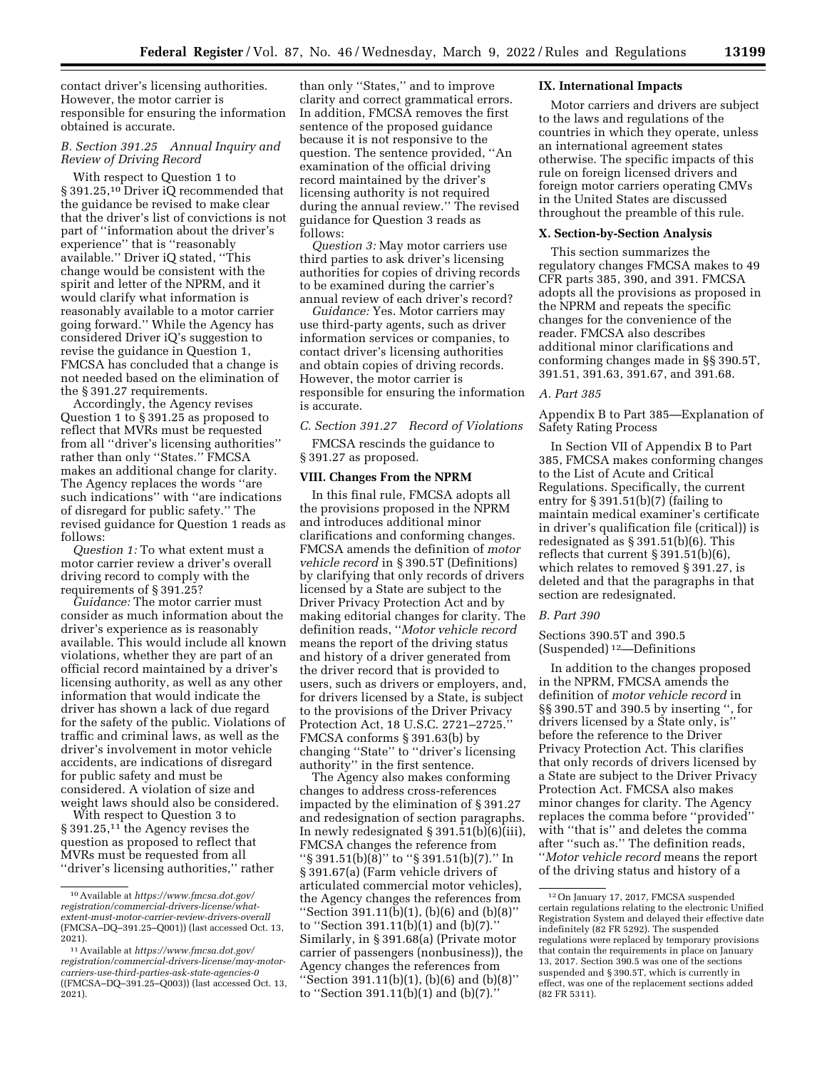contact driver's licensing authorities. However, the motor carrier is responsible for ensuring the information obtained is accurate.

## *B. Section 391.25 Annual Inquiry and Review of Driving Record*

With respect to Question 1 to § 391.25,10 Driver iQ recommended that the guidance be revised to make clear that the driver's list of convictions is not part of ''information about the driver's experience'' that is ''reasonably available.'' Driver iQ stated, ''This change would be consistent with the spirit and letter of the NPRM, and it would clarify what information is reasonably available to a motor carrier going forward.'' While the Agency has considered Driver iQ's suggestion to revise the guidance in Question 1, FMCSA has concluded that a change is not needed based on the elimination of the § 391.27 requirements.

Accordingly, the Agency revises Question 1 to § 391.25 as proposed to reflect that MVRs must be requested from all ''driver's licensing authorities'' rather than only ''States.'' FMCSA makes an additional change for clarity. The Agency replaces the words ''are such indications'' with ''are indications of disregard for public safety.'' The revised guidance for Question 1 reads as follows:

*Question 1:* To what extent must a motor carrier review a driver's overall driving record to comply with the requirements of § 391.25?

*Guidance:* The motor carrier must consider as much information about the driver's experience as is reasonably available. This would include all known violations, whether they are part of an official record maintained by a driver's licensing authority, as well as any other information that would indicate the driver has shown a lack of due regard for the safety of the public. Violations of traffic and criminal laws, as well as the driver's involvement in motor vehicle accidents, are indications of disregard for public safety and must be considered. A violation of size and weight laws should also be considered.

With respect to Question 3 to § 391.25,<sup>11</sup> the Agency revises the question as proposed to reflect that MVRs must be requested from all ''driver's licensing authorities,'' rather than only ''States,'' and to improve clarity and correct grammatical errors. In addition, FMCSA removes the first sentence of the proposed guidance because it is not responsive to the question. The sentence provided, ''An examination of the official driving record maintained by the driver's licensing authority is not required during the annual review.'' The revised guidance for Question 3 reads as follows:

*Question 3:* May motor carriers use third parties to ask driver's licensing authorities for copies of driving records to be examined during the carrier's annual review of each driver's record?

*Guidance:* Yes. Motor carriers may use third-party agents, such as driver information services or companies, to contact driver's licensing authorities and obtain copies of driving records. However, the motor carrier is responsible for ensuring the information is accurate.

*C. Section 391.27 Record of Violations* 

FMCSA rescinds the guidance to § 391.27 as proposed.

## **VIII. Changes From the NPRM**

In this final rule, FMCSA adopts all the provisions proposed in the NPRM and introduces additional minor clarifications and conforming changes. FMCSA amends the definition of *motor vehicle record* in § 390.5T (Definitions) by clarifying that only records of drivers licensed by a State are subject to the Driver Privacy Protection Act and by making editorial changes for clarity. The definition reads, ''*Motor vehicle record*  means the report of the driving status and history of a driver generated from the driver record that is provided to users, such as drivers or employers, and, for drivers licensed by a State, is subject to the provisions of the Driver Privacy Protection Act, 18 U.S.C. 2721–2725.'' FMCSA conforms § 391.63(b) by changing ''State'' to ''driver's licensing authority'' in the first sentence.

The Agency also makes conforming changes to address cross-references impacted by the elimination of § 391.27 and redesignation of section paragraphs. In newly redesignated § 391.51(b)(6)(iii), FMCSA changes the reference from ''§ 391.51(b)(8)'' to ''§ 391.51(b)(7).'' In § 391.67(a) (Farm vehicle drivers of articulated commercial motor vehicles), the Agency changes the references from ''Section 391.11(b)(1), (b)(6) and (b)(8)'' to ''Section 391.11(b)(1) and (b)(7).'' Similarly, in § 391.68(a) (Private motor carrier of passengers (nonbusiness)), the Agency changes the references from "Section 391.11(b)(1), (b)(6) and (b)(8)" to ''Section 391.11(b)(1) and (b)(7).''

#### **IX. International Impacts**

Motor carriers and drivers are subject to the laws and regulations of the countries in which they operate, unless an international agreement states otherwise. The specific impacts of this rule on foreign licensed drivers and foreign motor carriers operating CMVs in the United States are discussed throughout the preamble of this rule.

#### **X. Section-by-Section Analysis**

This section summarizes the regulatory changes FMCSA makes to 49 CFR parts 385, 390, and 391. FMCSA adopts all the provisions as proposed in the NPRM and repeats the specific changes for the convenience of the reader. FMCSA also describes additional minor clarifications and conforming changes made in §§ 390.5T, 391.51, 391.63, 391.67, and 391.68.

#### *A. Part 385*

Appendix B to Part 385—Explanation of Safety Rating Process

In Section VII of Appendix B to Part 385, FMCSA makes conforming changes to the List of Acute and Critical Regulations. Specifically, the current entry for § 391.51(b)(7) (failing to maintain medical examiner's certificate in driver's qualification file (critical)) is redesignated as § 391.51(b)(6). This reflects that current § 391.51(b)(6), which relates to removed § 391.27, is deleted and that the paragraphs in that section are redesignated.

#### *B. Part 390*

Sections 390.5T and 390.5 (Suspended) 12—Definitions

In addition to the changes proposed in the NPRM, FMCSA amends the definition of *motor vehicle record* in §§ 390.5T and 390.5 by inserting '', for drivers licensed by a State only, is'' before the reference to the Driver Privacy Protection Act. This clarifies that only records of drivers licensed by a State are subject to the Driver Privacy Protection Act. FMCSA also makes minor changes for clarity. The Agency replaces the comma before ''provided'' with ''that is'' and deletes the comma after ''such as.'' The definition reads, ''*Motor vehicle record* means the report of the driving status and history of a

<sup>10</sup>Available at *[https://www.fmcsa.dot.gov/](https://www.fmcsa.dot.gov/registration/commercial-drivers-license/what-extent-must-motor-carrier-review-drivers-overall) [registration/commercial-drivers-license/what](https://www.fmcsa.dot.gov/registration/commercial-drivers-license/what-extent-must-motor-carrier-review-drivers-overall)[extent-must-motor-carrier-review-drivers-overall](https://www.fmcsa.dot.gov/registration/commercial-drivers-license/what-extent-must-motor-carrier-review-drivers-overall)*  (FMCSA–DQ–391.25–Q001)) (last accessed Oct. 13, 2021).

<sup>11</sup>Available at *[https://www.fmcsa.dot.gov/](https://www.fmcsa.dot.gov/registration/commercial-drivers-license/may-motor-carriers-use-third-parties-ask-state-agencies-0) [registration/commercial-drivers-license/may-motor](https://www.fmcsa.dot.gov/registration/commercial-drivers-license/may-motor-carriers-use-third-parties-ask-state-agencies-0)[carriers-use-third-parties-ask-state-agencies-0](https://www.fmcsa.dot.gov/registration/commercial-drivers-license/may-motor-carriers-use-third-parties-ask-state-agencies-0)*  ((FMCSA–DQ–391.25–Q003)) (last accessed Oct. 13, 2021).

<sup>12</sup>On January 17, 2017, FMCSA suspended certain regulations relating to the electronic Unified Registration System and delayed their effective date indefinitely (82 FR 5292). The suspended regulations were replaced by temporary provisions that contain the requirements in place on January 13, 2017. Section 390.5 was one of the sections suspended and § 390.5T, which is currently in effect, was one of the replacement sections added (82 FR 5311).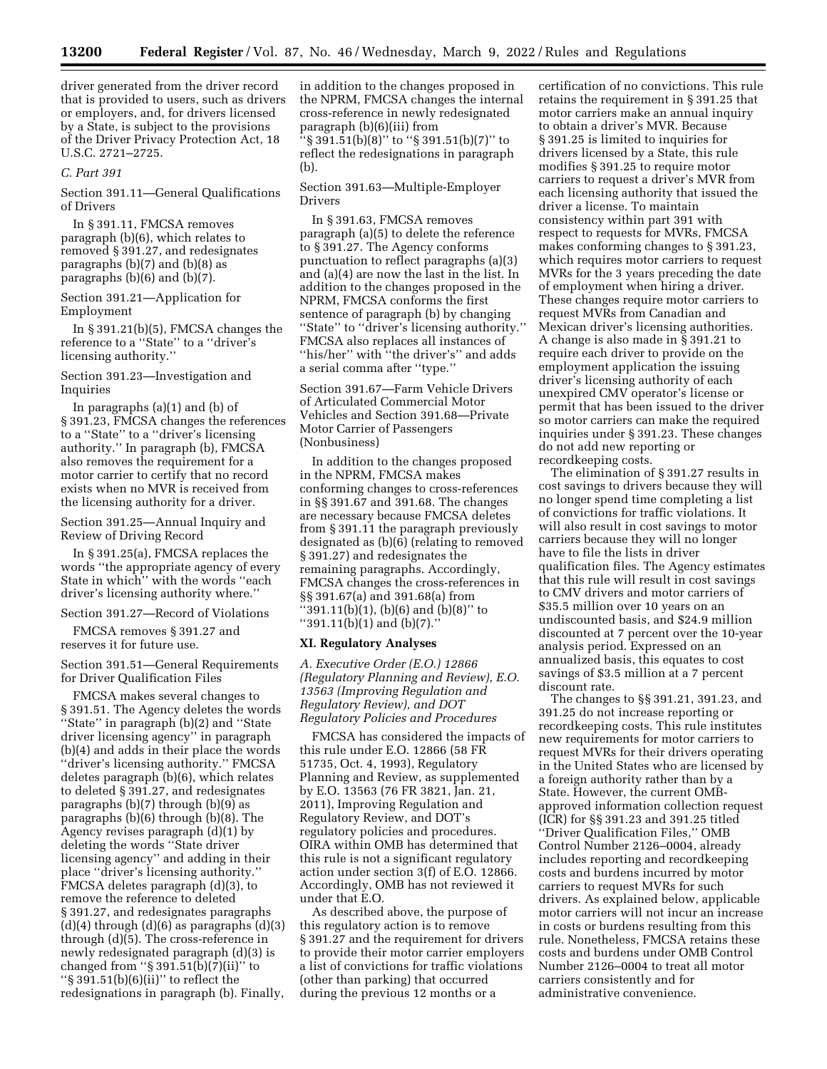driver generated from the driver record that is provided to users, such as drivers or employers, and, for drivers licensed by a State, is subject to the provisions of the Driver Privacy Protection Act, 18 U.S.C. 2721–2725.

#### *C. Part 391*

Section 391.11—General Qualifications of Drivers

In § 391.11, FMCSA removes paragraph (b)(6), which relates to removed § 391.27, and redesignates paragraphs (b)(7) and (b)(8) as paragraphs (b)(6) and (b)(7).

Section 391.21—Application for Employment

In § 391.21(b)(5), FMCSA changes the reference to a ''State'' to a ''driver's licensing authority.''

Section 391.23—Investigation and Inquiries

In paragraphs (a)(1) and (b) of § 391.23, FMCSA changes the references to a ''State'' to a ''driver's licensing authority.'' In paragraph (b), FMCSA also removes the requirement for a motor carrier to certify that no record exists when no MVR is received from the licensing authority for a driver.

Section 391.25—Annual Inquiry and Review of Driving Record

In § 391.25(a), FMCSA replaces the words ''the appropriate agency of every State in which'' with the words ''each driver's licensing authority where.''

Section 391.27—Record of Violations

FMCSA removes § 391.27 and reserves it for future use.

Section 391.51—General Requirements for Driver Qualification Files

FMCSA makes several changes to § 391.51. The Agency deletes the words ''State'' in paragraph (b)(2) and ''State driver licensing agency'' in paragraph (b)(4) and adds in their place the words ''driver's licensing authority.'' FMCSA deletes paragraph (b)(6), which relates to deleted § 391.27, and redesignates paragraphs (b)(7) through (b)(9) as paragraphs (b)(6) through (b)(8). The Agency revises paragraph (d)(1) by deleting the words ''State driver licensing agency'' and adding in their place ''driver's licensing authority.'' FMCSA deletes paragraph (d)(3), to remove the reference to deleted § 391.27, and redesignates paragraphs  $(d)(4)$  through  $(d)(6)$  as paragraphs  $(d)(3)$ through (d)(5). The cross-reference in newly redesignated paragraph (d)(3) is changed from " $\S 391.51(b)(7)(ii)$ " to  $\frac{1}{5}$  391.51(b)(6)(ii)" to reflect the redesignations in paragraph (b). Finally,

in addition to the changes proposed in the NPRM, FMCSA changes the internal cross-reference in newly redesignated paragraph (b)(6)(iii) from ''§ 391.51(b)(8)'' to ''§ 391.51(b)(7)'' to reflect the redesignations in paragraph (b).

Section 391.63—Multiple-Employer Drivers

In § 391.63, FMCSA removes paragraph (a)(5) to delete the reference to § 391.27. The Agency conforms punctuation to reflect paragraphs (a)(3) and (a)(4) are now the last in the list. In addition to the changes proposed in the NPRM, FMCSA conforms the first sentence of paragraph (b) by changing ''State'' to ''driver's licensing authority.'' FMCSA also replaces all instances of "his/her" with "the driver's" and adds a serial comma after ''type.''

Section 391.67—Farm Vehicle Drivers of Articulated Commercial Motor Vehicles and Section 391.68—Private Motor Carrier of Passengers (Nonbusiness)

In addition to the changes proposed in the NPRM, FMCSA makes conforming changes to cross-references in §§ 391.67 and 391.68. The changes are necessary because FMCSA deletes from § 391.11 the paragraph previously designated as (b)(6) (relating to removed § 391.27) and redesignates the remaining paragraphs. Accordingly, FMCSA changes the cross-references in §§ 391.67(a) and 391.68(a) from ''391.11(b)(1), (b)(6) and (b)(8)'' to ''391.11(b)(1) and (b)(7).''

### **XI. Regulatory Analyses**

*A. Executive Order (E.O.) 12866 (Regulatory Planning and Review), E.O. 13563 (Improving Regulation and Regulatory Review), and DOT Regulatory Policies and Procedures* 

FMCSA has considered the impacts of this rule under E.O. 12866 (58 FR 51735, Oct. 4, 1993), Regulatory Planning and Review, as supplemented by E.O. 13563 (76 FR 3821, Jan. 21, 2011), Improving Regulation and Regulatory Review, and DOT's regulatory policies and procedures. OIRA within OMB has determined that this rule is not a significant regulatory action under section 3(f) of E.O. 12866. Accordingly, OMB has not reviewed it under that E.O.

As described above, the purpose of this regulatory action is to remove § 391.27 and the requirement for drivers to provide their motor carrier employers a list of convictions for traffic violations (other than parking) that occurred during the previous 12 months or a

certification of no convictions. This rule retains the requirement in § 391.25 that motor carriers make an annual inquiry to obtain a driver's MVR. Because § 391.25 is limited to inquiries for drivers licensed by a State, this rule modifies § 391.25 to require motor carriers to request a driver's MVR from each licensing authority that issued the driver a license. To maintain consistency within part 391 with respect to requests for MVRs, FMCSA makes conforming changes to § 391.23, which requires motor carriers to request MVRs for the 3 years preceding the date of employment when hiring a driver. These changes require motor carriers to request MVRs from Canadian and Mexican driver's licensing authorities. A change is also made in § 391.21 to require each driver to provide on the employment application the issuing driver's licensing authority of each unexpired CMV operator's license or permit that has been issued to the driver so motor carriers can make the required inquiries under § 391.23. These changes do not add new reporting or recordkeeping costs.

The elimination of § 391.27 results in cost savings to drivers because they will no longer spend time completing a list of convictions for traffic violations. It will also result in cost savings to motor carriers because they will no longer have to file the lists in driver qualification files. The Agency estimates that this rule will result in cost savings to CMV drivers and motor carriers of \$35.5 million over 10 years on an undiscounted basis, and \$24.9 million discounted at 7 percent over the 10-year analysis period. Expressed on an annualized basis, this equates to cost savings of \$3.5 million at a 7 percent discount rate.

The changes to §§ 391.21, 391.23, and 391.25 do not increase reporting or recordkeeping costs. This rule institutes new requirements for motor carriers to request MVRs for their drivers operating in the United States who are licensed by a foreign authority rather than by a State. However, the current OMBapproved information collection request (ICR) for §§ 391.23 and 391.25 titled ''Driver Qualification Files,'' OMB Control Number 2126–0004, already includes reporting and recordkeeping costs and burdens incurred by motor carriers to request MVRs for such drivers. As explained below, applicable motor carriers will not incur an increase in costs or burdens resulting from this rule. Nonetheless, FMCSA retains these costs and burdens under OMB Control Number 2126–0004 to treat all motor carriers consistently and for administrative convenience.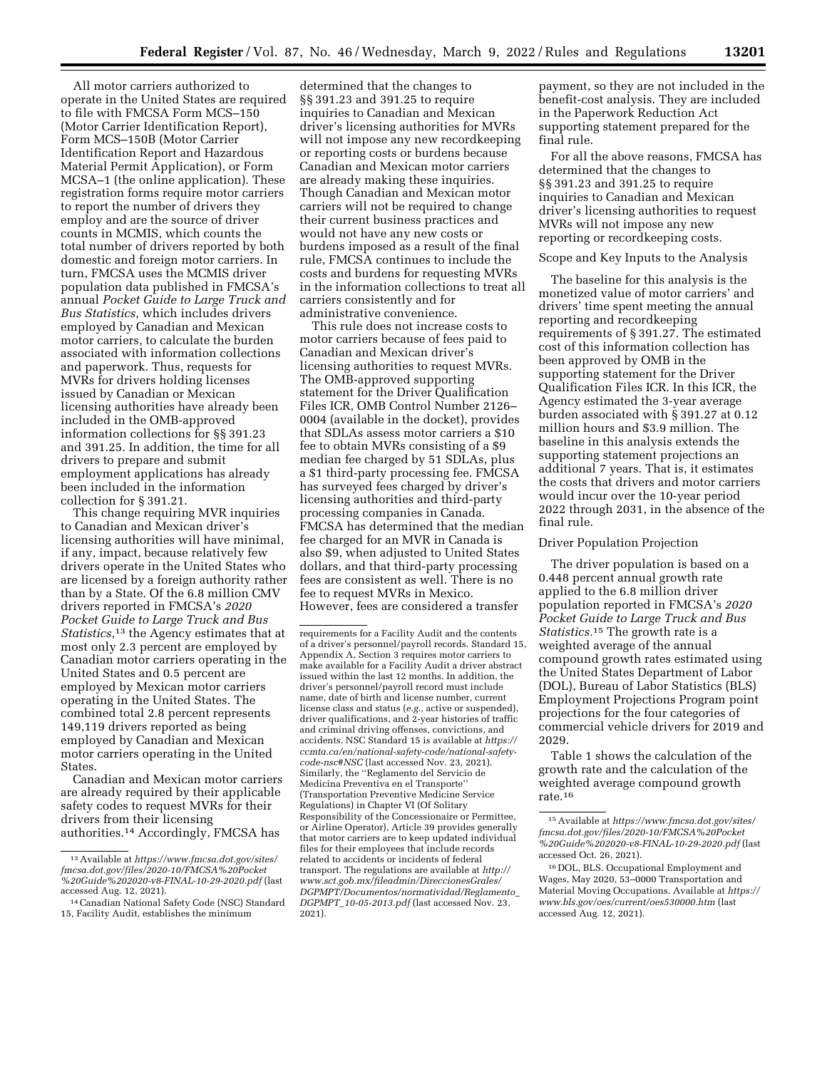All motor carriers authorized to operate in the United States are required to file with FMCSA Form MCS–150 (Motor Carrier Identification Report), Form MCS–150B (Motor Carrier Identification Report and Hazardous Material Permit Application), or Form MCSA–1 (the online application). These registration forms require motor carriers to report the number of drivers they employ and are the source of driver counts in MCMIS, which counts the total number of drivers reported by both domestic and foreign motor carriers. In turn, FMCSA uses the MCMIS driver population data published in FMCSA's annual *Pocket Guide to Large Truck and Bus Statistics,* which includes drivers employed by Canadian and Mexican motor carriers, to calculate the burden associated with information collections and paperwork. Thus, requests for MVRs for drivers holding licenses issued by Canadian or Mexican licensing authorities have already been included in the OMB-approved information collections for §§ 391.23 and 391.25. In addition, the time for all drivers to prepare and submit employment applications has already been included in the information collection for § 391.21.

This change requiring MVR inquiries to Canadian and Mexican driver's licensing authorities will have minimal, if any, impact, because relatively few drivers operate in the United States who are licensed by a foreign authority rather than by a State. Of the 6.8 million CMV drivers reported in FMCSA's *2020 Pocket Guide to Large Truck and Bus Statistics,*13 the Agency estimates that at most only 2.3 percent are employed by Canadian motor carriers operating in the United States and 0.5 percent are employed by Mexican motor carriers operating in the United States. The combined total 2.8 percent represents 149,119 drivers reported as being employed by Canadian and Mexican motor carriers operating in the United States.

Canadian and Mexican motor carriers are already required by their applicable safety codes to request MVRs for their drivers from their licensing authorities.14 Accordingly, FMCSA has

determined that the changes to §§ 391.23 and 391.25 to require inquiries to Canadian and Mexican driver's licensing authorities for MVRs will not impose any new recordkeeping or reporting costs or burdens because Canadian and Mexican motor carriers are already making these inquiries. Though Canadian and Mexican motor carriers will not be required to change their current business practices and would not have any new costs or burdens imposed as a result of the final rule, FMCSA continues to include the costs and burdens for requesting MVRs in the information collections to treat all carriers consistently and for administrative convenience.

This rule does not increase costs to motor carriers because of fees paid to Canadian and Mexican driver's licensing authorities to request MVRs. The OMB-approved supporting statement for the Driver Qualification Files ICR, OMB Control Number 2126– 0004 (available in the docket), provides that SDLAs assess motor carriers a \$10 fee to obtain MVRs consisting of a \$9 median fee charged by 51 SDLAs, plus a \$1 third-party processing fee. FMCSA has surveyed fees charged by driver's licensing authorities and third-party processing companies in Canada. FMCSA has determined that the median fee charged for an MVR in Canada is also \$9, when adjusted to United States dollars, and that third-party processing fees are consistent as well. There is no fee to request MVRs in Mexico. However, fees are considered a transfer

payment, so they are not included in the benefit-cost analysis. They are included in the Paperwork Reduction Act supporting statement prepared for the final rule.

For all the above reasons, FMCSA has determined that the changes to §§ 391.23 and 391.25 to require inquiries to Canadian and Mexican driver's licensing authorities to request MVRs will not impose any new reporting or recordkeeping costs.

#### Scope and Key Inputs to the Analysis

The baseline for this analysis is the monetized value of motor carriers' and drivers' time spent meeting the annual reporting and recordkeeping requirements of § 391.27. The estimated cost of this information collection has been approved by OMB in the supporting statement for the Driver Qualification Files ICR. In this ICR, the Agency estimated the 3-year average burden associated with § 391.27 at 0.12 million hours and \$3.9 million. The baseline in this analysis extends the supporting statement projections an additional 7 years. That is, it estimates the costs that drivers and motor carriers would incur over the 10-year period 2022 through 2031, in the absence of the final rule.

#### Driver Population Projection

The driver population is based on a 0.448 percent annual growth rate applied to the 6.8 million driver population reported in FMCSA's *2020 Pocket Guide to Large Truck and Bus Statistics.*15 The growth rate is a weighted average of the annual compound growth rates estimated using the United States Department of Labor (DOL), Bureau of Labor Statistics (BLS) Employment Projections Program point projections for the four categories of commercial vehicle drivers for 2019 and 2029.

Table 1 shows the calculation of the growth rate and the calculation of the weighted average compound growth rate.16

<sup>13</sup>Available at *[https://www.fmcsa.dot.gov/sites/](https://www.fmcsa.dot.gov/sites/fmcsa.dot.gov/files/2020-10/FMCSA%20Pocket%20Guide%202020-v8-FINAL-10-29-2020.pdf) [fmcsa.dot.gov/files/2020-10/FMCSA%20Pocket](https://www.fmcsa.dot.gov/sites/fmcsa.dot.gov/files/2020-10/FMCSA%20Pocket%20Guide%202020-v8-FINAL-10-29-2020.pdf) [%20Guide%202020-v8-FINAL-10-29-2020.pdf](https://www.fmcsa.dot.gov/sites/fmcsa.dot.gov/files/2020-10/FMCSA%20Pocket%20Guide%202020-v8-FINAL-10-29-2020.pdf)* (last

<sup>&</sup>lt;sup>14</sup> Canadian National Safety Code (NSC) Standard 15, Facility Audit, establishes the minimum

requirements for a Facility Audit and the contents of a driver's personnel/payroll records. Standard 15, Appendix A, Section 3 requires motor carriers to make available for a Facility Audit a driver abstract issued within the last 12 months. In addition, the driver's personnel/payroll record must include name, date of birth and license number, current license class and status (*e.g.,* active or suspended), driver qualifications, and 2-year histories of traffic and criminal driving offenses, convictions, and accidents. NSC Standard 15 is available at *[https://](https://ccmta.ca/en/national-safety-code/national-safety-code-nsc#NSC)  [ccmta.ca/en/national-safety-code/national-safety](https://ccmta.ca/en/national-safety-code/national-safety-code-nsc#NSC)[code-nsc#NSC](https://ccmta.ca/en/national-safety-code/national-safety-code-nsc#NSC)* (last accessed Nov. 23, 2021). Similarly, the ''Reglamento del Servicio de Medicina Preventiva en el Transporte'' (Transportation Preventive Medicine Service Regulations) in Chapter VI (Of Solitary Responsibility of the Concessionaire or Permittee, or Airline Operator), Article 39 provides generally that motor carriers are to keep updated individual files for their employees that include records related to accidents or incidents of federal transport. The regulations are available at *[http://](http://www.sct.gob.mx/fileadmin/DireccionesGrales/DGPMPT/Documentos/normatividad/Reglamento_DGPMPT_10-05-2013.pdf) [www.sct.gob.mx/fileadmin/DireccionesGrales/](http://www.sct.gob.mx/fileadmin/DireccionesGrales/DGPMPT/Documentos/normatividad/Reglamento_DGPMPT_10-05-2013.pdf) [DGPMPT/Documentos/normatividad/Reglamento](http://www.sct.gob.mx/fileadmin/DireccionesGrales/DGPMPT/Documentos/normatividad/Reglamento_DGPMPT_10-05-2013.pdf)*\_ *DGPMPT*\_*[10-05-2013.pdf](http://www.sct.gob.mx/fileadmin/DireccionesGrales/DGPMPT/Documentos/normatividad/Reglamento_DGPMPT_10-05-2013.pdf)* (last accessed Nov. 23, 2021).

<sup>15</sup>Available at *[https://www.fmcsa.dot.gov/sites/](https://www.fmcsa.dot.gov/sites/fmcsa.dot.gov/files/2020-10/FMCSA%20Pocket%20Guide%202020-v8-FINAL-10-29-2020.pdf) [fmcsa.dot.gov/files/2020-10/FMCSA%20Pocket](https://www.fmcsa.dot.gov/sites/fmcsa.dot.gov/files/2020-10/FMCSA%20Pocket%20Guide%202020-v8-FINAL-10-29-2020.pdf) [%20Guide%202020-v8-FINAL-10-29-2020.pdf](https://www.fmcsa.dot.gov/sites/fmcsa.dot.gov/files/2020-10/FMCSA%20Pocket%20Guide%202020-v8-FINAL-10-29-2020.pdf)* (last accessed Oct. 26, 2021).

<sup>16</sup> DOL, BLS. Occupational Employment and Wages, May 2020, 53–0000 Transportation and Material Moving Occupations. Available at *[https://](https://www.bls.gov/oes/current/oes530000.htm)  [www.bls.gov/oes/current/oes530000.htm](https://www.bls.gov/oes/current/oes530000.htm)* (last accessed Aug. 12, 2021).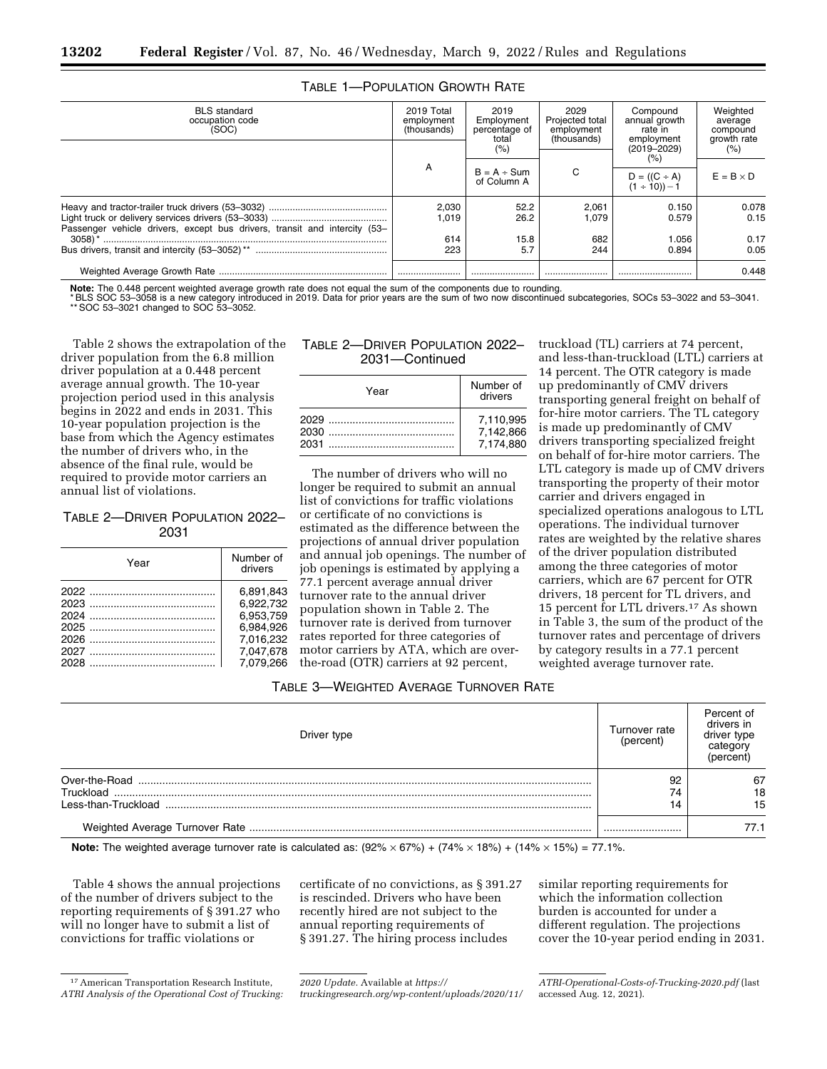| <b>BLS</b> standard<br>occupation code<br>(SOC)                           | 2019 Total<br>employment<br>(thousands) | 2019<br>Employment<br>percentage of<br>total | 2029<br>Projected total<br>employment<br>(thousands) | Compound<br>annual growth<br>rate in<br>employment | Weighted<br>average<br>compound<br>growth rate |  |
|---------------------------------------------------------------------------|-----------------------------------------|----------------------------------------------|------------------------------------------------------|----------------------------------------------------|------------------------------------------------|--|
|                                                                           |                                         | (%                                           |                                                      | $(2019 - 2029)$<br>(%                              | (% )                                           |  |
|                                                                           | A                                       | $B = A \div Sum$<br>of Column A              | C                                                    | $D = ((C \div A))$<br>(1 ÷ 10)) – 1                | $E = B \times D$                               |  |
| Passenger vehicle drivers, except bus drivers, transit and intercity (53– | 2,030<br>1.019                          | 52.2<br>26.2                                 | 2,061<br>1.079                                       | 0.150<br>0.579                                     | 0.078<br>0.15                                  |  |
| $3058$ <sup>*</sup>                                                       | 614                                     | 15.8                                         | 682                                                  | 1.056                                              | 0.17                                           |  |
|                                                                           | 223                                     | 5.7                                          | 244                                                  | 0.894                                              | 0.05                                           |  |
|                                                                           |                                         |                                              |                                                      |                                                    | 0.448                                          |  |

## TABLE 1—POPULATION GROWTH RATE

**Note:** The 0.448 percent weighted average growth rate does not equal the sum of the components due to rounding.

\* BLS SOC 53–3058 is a new category introduced in 2019. Data for prior years are the sum of two now discontinued subcategories, SOCs 53–3022 and 53–3041. \*\* SOC 53–3021 changed to SOC 53–3052.

Table 2 shows the extrapolation of the driver population from the 6.8 million driver population at a 0.448 percent average annual growth. The 10-year projection period used in this analysis begins in 2022 and ends in 2031. This 10-year population projection is the base from which the Agency estimates the number of drivers who, in the absence of the final rule, would be required to provide motor carriers an annual list of violations.

## TABLE 2—DRIVER POPULATION 2022– 2031

| Year | Number of<br>drivers                                                       |
|------|----------------------------------------------------------------------------|
|      | 6.891.843<br>6.922.732<br>6.953.759<br>6.984.926<br>7.016.232<br>7.047.678 |
|      | 7.079.266                                                                  |

## TABLE 2—DRIVER POPULATION 2022– 2031—Continued

| Year                 | Number of<br>drivers                |
|----------------------|-------------------------------------|
| 2029<br>2030<br>2031 | 7.110.995<br>7,142,866<br>7.174.880 |

The number of drivers who will no longer be required to submit an annual list of convictions for traffic violations or certificate of no convictions is estimated as the difference between the projections of annual driver population and annual job openings. The number of job openings is estimated by applying a 77.1 percent average annual driver turnover rate to the annual driver population shown in Table 2. The turnover rate is derived from turnover rates reported for three categories of motor carriers by ATA, which are overthe-road (OTR) carriers at 92 percent,

truckload (TL) carriers at 74 percent, and less-than-truckload (LTL) carriers at 14 percent. The OTR category is made up predominantly of CMV drivers transporting general freight on behalf of for-hire motor carriers. The TL category is made up predominantly of CMV drivers transporting specialized freight on behalf of for-hire motor carriers. The LTL category is made up of CMV drivers transporting the property of their motor carrier and drivers engaged in specialized operations analogous to LTL operations. The individual turnover rates are weighted by the relative shares of the driver population distributed among the three categories of motor carriers, which are 67 percent for OTR drivers, 18 percent for TL drivers, and 15 percent for LTL drivers.17 As shown in Table 3, the sum of the product of the turnover rates and percentage of drivers by category results in a 77.1 percent weighted average turnover rate.

## TABLE 3—WEIGHTED AVERAGE TURNOVER RATE

| Driver type   | Turnover rate<br>(percent) | Percent of<br>drivers in<br>driver type<br>categorv<br>(percent |
|---------------|----------------------------|-----------------------------------------------------------------|
| Over-the-Road | 92                         | 67                                                              |
|               | 74                         | 18                                                              |
|               |                            | 15                                                              |
|               |                            |                                                                 |

**Note:** The weighted average turnover rate is calculated as:  $(92\% \times 67\%) + (74\% \times 18\%) + (14\% \times 15\%) = 77.1\%$ .

Table 4 shows the annual projections of the number of drivers subject to the reporting requirements of § 391.27 who will no longer have to submit a list of convictions for traffic violations or

certificate of no convictions, as § 391.27 is rescinded. Drivers who have been recently hired are not subject to the annual reporting requirements of § 391.27. The hiring process includes

similar reporting requirements for which the information collection burden is accounted for under a different regulation. The projections cover the 10-year period ending in 2031.

<sup>17</sup>American Transportation Research Institute, *ATRI Analysis of the Operational Cost of Trucking:* 

*<sup>2020</sup> Update.* Available at *[https://](https://truckingresearch.org/wp-content/uploads/2020/11/ATRI-Operational-Costs-of-Trucking-2020.pdf)*

*[truckingresearch.org/wp-content/uploads/2020/11/](https://truckingresearch.org/wp-content/uploads/2020/11/ATRI-Operational-Costs-of-Trucking-2020.pdf)* 

*[ATRI-Operational-Costs-of-Trucking-2020.pdf](https://truckingresearch.org/wp-content/uploads/2020/11/ATRI-Operational-Costs-of-Trucking-2020.pdf)* (last accessed Aug. 12, 2021).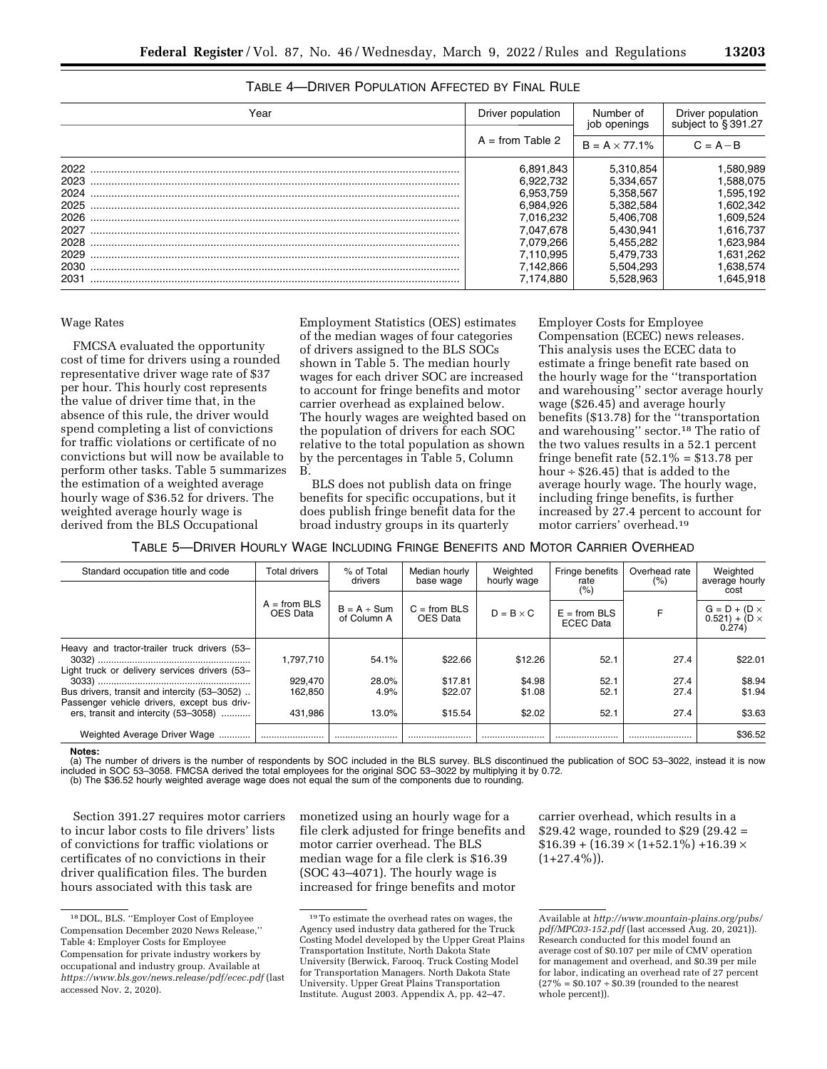| Year | Driver population                          | Number of<br>job openings | Driver population<br>subject to §391.27 |
|------|--------------------------------------------|---------------------------|-----------------------------------------|
|      | $A = from Table 2$<br>$B = A \times 77.1%$ |                           | $C = A - B$                             |
| 2022 | 6.891.843                                  | 5.310.854                 | .580.989                                |
| 2023 | 6.922.732                                  | 5.334.657                 | 1.588.075                               |
| 2024 | 6.953.759                                  | 5,358,567                 | 1,595,192                               |
| 2025 | 6.984.926                                  | 5.382.584                 | .602.342                                |
| 2026 | 7.016.232                                  | 5.406.708                 | .609.524                                |
| 2027 | 7.047.678                                  | 5.430.941                 | 1.616.737                               |
| 2028 | 7.079,266                                  | 5.455.282                 | .623,984                                |
| 2029 | 7.110.995                                  | 5.479.733                 | 1,631,262                               |
| 2030 | 7.142.866                                  | 5.504.293                 | .638.574                                |
| 2031 | 7.174.880                                  | 5.528.963                 | .645.918                                |
|      |                                            |                           |                                         |

## TABLE 4—DRIVER POPULATION AFFECTED BY FINAL RULE

#### Wage Rates

FMCSA evaluated the opportunity cost of time for drivers using a rounded representative driver wage rate of \$37 per hour. This hourly cost represents the value of driver time that, in the absence of this rule, the driver would spend completing a list of convictions for traffic violations or certificate of no convictions but will now be available to perform other tasks. Table 5 summarizes the estimation of a weighted average hourly wage of \$36.52 for drivers. The weighted average hourly wage is derived from the BLS Occupational

Employment Statistics (OES) estimates of the median wages of four categories of drivers assigned to the BLS SOCs shown in Table 5. The median hourly wages for each driver SOC are increased to account for fringe benefits and motor carrier overhead as explained below. The hourly wages are weighted based on the population of drivers for each SOC relative to the total population as shown by the percentages in Table 5, Column B.

BLS does not publish data on fringe benefits for specific occupations, but it does publish fringe benefit data for the broad industry groups in its quarterly

Employer Costs for Employee Compensation (ECEC) news releases. This analysis uses the ECEC data to estimate a fringe benefit rate based on the hourly wage for the ''transportation and warehousing'' sector average hourly wage (\$26.45) and average hourly benefits (\$13.78) for the ''transportation and warehousing'' sector.18 The ratio of the two values results in a 52.1 percent fringe benefit rate  $(52.1\% = $13.78$  per hour  $\div$  \$26.45) that is added to the average hourly wage. The hourly wage, including fringe benefits, is further increased by 27.4 percent to account for motor carriers' overhead.19

TABLE 5—DRIVER HOURLY WAGE INCLUDING FRINGE BENEFITS AND MOTOR CARRIER OVERHEAD

| Standard occupation title and code                                                          | Total drivers              | % of Total<br>drivers           | Median hourly<br>base wage | Weighted<br>hourly wage | Fringe benefits<br>rate            | Overhead rate<br>(% ) | Weighted<br>average hourly<br>cost                     |
|---------------------------------------------------------------------------------------------|----------------------------|---------------------------------|----------------------------|-------------------------|------------------------------------|-----------------------|--------------------------------------------------------|
|                                                                                             |                            |                                 |                            |                         | (%)                                |                       |                                                        |
|                                                                                             | $A = from BLS$<br>OES Data | $B = A \div Sun$<br>of Column A | $C = from BLS$<br>OES Data | $D = B \times C$        | $E = from BLS$<br><b>ECEC</b> Data |                       | $G = D + (D \times$<br>$0.521$ + (D $\times$<br>0.274) |
| Heavy and tractor-trailer truck drivers (53-                                                | 1.797.710                  | 54.1%                           | \$22.66                    | \$12.26                 | 52.1                               | 27.4                  | \$22.01                                                |
| Light truck or delivery services drivers (53-                                               | 929,470                    | 28.0%                           | \$17.81                    | \$4.98                  | 52.1                               | 27.4                  | \$8.94                                                 |
| Bus drivers, transit and intercity (53-3052)<br>Passenger vehicle drivers, except bus driv- | 162.850                    | 4.9%                            | \$22.07                    | \$1.08                  | 52.1                               | 27.4                  | \$1.94                                                 |
| ers, transit and intercity (53-3058)                                                        | 431.986                    | 13.0%                           | \$15.54                    | \$2.02                  | 52.1                               | 27.4                  | \$3.63                                                 |
| Weighted Average Driver Wage<br>                                                            |                            |                                 |                            |                         |                                    |                       | \$36.52                                                |

**Notes:** 

(a) The number of drivers is the number of respondents by SOC included in the BLS survey. BLS discontinued the publication of SOC 53–3022, instead it is now included in SOC 53–3058. FMCSA derived the total employees for the original SOC 53–3022 by multiplying it by 0.72. (b) The \$36.52 hourly weighted average wage does not equal the sum of the components due to rounding.

Section 391.27 requires motor carriers to incur labor costs to file drivers' lists of convictions for traffic violations or certificates of no convictions in their driver qualification files. The burden hours associated with this task are

monetized using an hourly wage for a file clerk adjusted for fringe benefits and motor carrier overhead. The BLS median wage for a file clerk is \$16.39 (SOC 43–4071). The hourly wage is increased for fringe benefits and motor

carrier overhead, which results in a \$29.42 wage, rounded to \$29 (29.42 =  $$16.39 + (16.39 \times (1+52.1\%) + 16.39 \times$  $(1+27.4\%)$ .

<sup>18</sup> DOL, BLS. ''Employer Cost of Employee Compensation December 2020 News Release,'' Table 4: Employer Costs for Employee Compensation for private industry workers by occupational and industry group. Available at *<https://www.bls.gov/news.release/pdf/ecec.pdf>* (last accessed Nov. 2, 2020).

<sup>19</sup>To estimate the overhead rates on wages, the Agency used industry data gathered for the Truck Costing Model developed by the Upper Great Plains Transportation Institute, North Dakota State University (Berwick, Farooq. Truck Costing Model for Transportation Managers. North Dakota State University. Upper Great Plains Transportation Institute. August 2003. Appendix A, pp. 42–47.

Available at *[http://www.mountain-plains.org/pubs/](http://www.mountain-plains.org/pubs/pdf/MPC03-152.pdf)  [pdf/MPC03-152.pdf](http://www.mountain-plains.org/pubs/pdf/MPC03-152.pdf)* (last accessed Aug. 20, 2021)). Research conducted for this model found an average cost of \$0.107 per mile of CMV operation for management and overhead, and \$0.39 per mile for labor, indicating an overhead rate of 27 percent  $(27\% = $0.107 \div $0.39$  (rounded to the nearest whole percent)).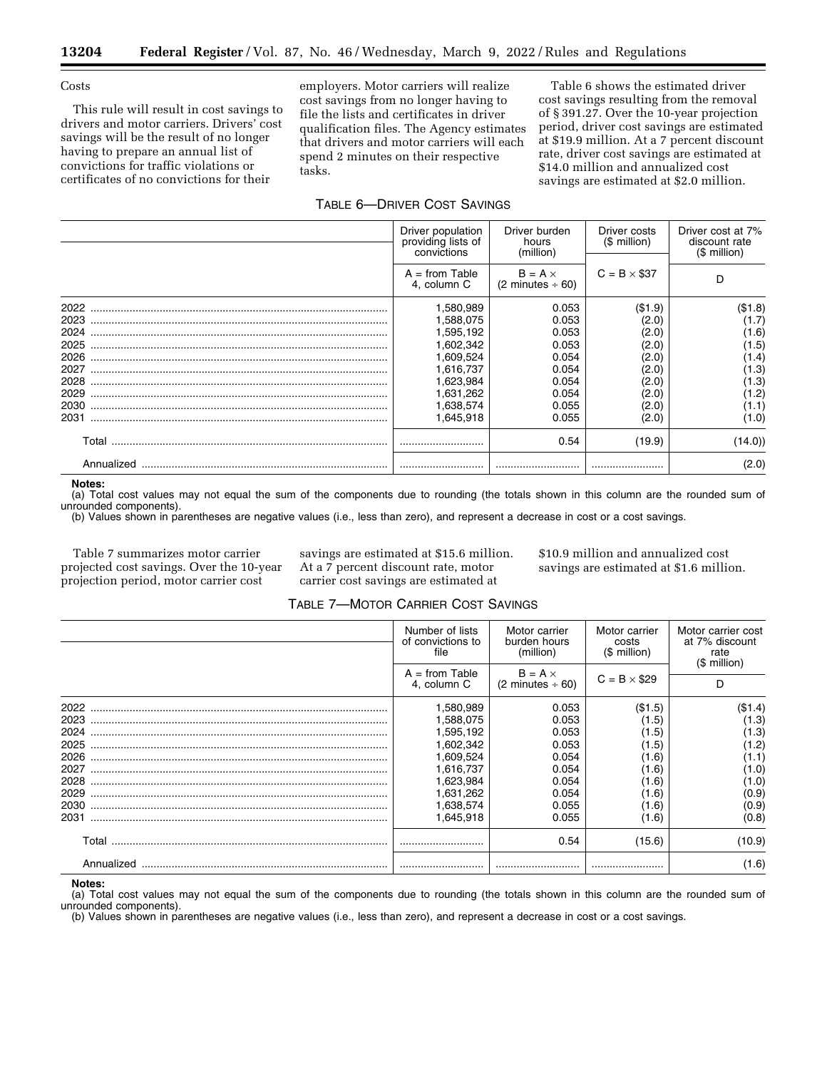#### **Costs**

This rule will result in cost savings to drivers and motor carriers. Drivers' cost savings will be the result of no longer having to prepare an annual list of convictions for traffic violations or certificates of no convictions for their

employers. Motor carriers will realize cost savings from no longer having to file the lists and certificates in driver qualification files. The Agency estimates that drivers and motor carriers will each spend 2 minutes on their respective tasks.

Table 6 shows the estimated driver cost savings resulting from the removal of § 391.27. Over the 10-year projection period, driver cost savings are estimated at \$19.9 million. At a 7 percent discount rate, driver cost savings are estimated at \$14.0 million and annualized cost savings are estimated at \$2.0 million.

## TABLE 6—DRIVER COST SAVINGS

|            | Driver population<br>Driver burden<br>providing lists of<br>hours<br>(million)<br>convictions |                                                 | Driver costs<br>(\$ million) | Driver cost at 7%<br>discount rate<br>(\$ million) |  |
|------------|-----------------------------------------------------------------------------------------------|-------------------------------------------------|------------------------------|----------------------------------------------------|--|
|            | $A = from Table$<br>4. column C                                                               | $B = A \times$<br>$(2 \text{ minutes} \div 60)$ | $C = B \times $37$           | D                                                  |  |
| 2022       | 1,580,989                                                                                     | 0.053                                           | ( \$1.9)                     | (\$1.8)                                            |  |
| 2023       | 1,588,075                                                                                     | 0.053                                           | (2.0)                        | (1.7)                                              |  |
| 2024       | 1,595,192                                                                                     | 0.053                                           | (2.0)                        | (1.6)                                              |  |
| 2025       | 1,602,342                                                                                     | 0.053                                           | (2.0)                        | (1.5)                                              |  |
| 2026       | 1,609,524                                                                                     | 0.054                                           | (2.0)                        | (1.4)                                              |  |
| 2027       | 1,616,737                                                                                     | 0.054                                           | (2.0)                        | (1.3)                                              |  |
| 2028       | 1,623,984                                                                                     | 0.054                                           | (2.0)                        | (1.3)                                              |  |
| 2029       | 1,631,262                                                                                     | 0.054                                           | (2.0)                        | (1.2)                                              |  |
| 2030       | 1,638,574                                                                                     | 0.055                                           | (2.0)                        | (1.1)                                              |  |
| 2031       | 1.645.918                                                                                     | 0.055                                           | (2.0)                        | (1.0)                                              |  |
|            |                                                                                               | 0.54                                            | (19.9)                       | (14.0)                                             |  |
| Annualized |                                                                                               |                                                 |                              | (2.0)                                              |  |

**Notes:** 

(a) Total cost values may not equal the sum of the components due to rounding (the totals shown in this column are the rounded sum of unrounded components).

(b) Values shown in parentheses are negative values (i.e., less than zero), and represent a decrease in cost or a cost savings.

Table 7 summarizes motor carrier projected cost savings. Over the 10-year projection period, motor carrier cost

savings are estimated at \$15.6 million. At a 7 percent discount rate, motor carrier cost savings are estimated at

\$10.9 million and annualized cost savings are estimated at \$1.6 million.

## TABLE 7—MOTOR CARRIER COST SAVINGS

|            | Number of lists<br>of convictions to<br>file                                       | Motor carrier<br>burden hours<br>(million) | Motor carrier<br>costs<br>$($$ million) | Motor carrier cost<br>at 7% discount<br>rate<br>$$$ million) |  |
|------------|------------------------------------------------------------------------------------|--------------------------------------------|-----------------------------------------|--------------------------------------------------------------|--|
|            | $A = from Table$<br>$B = A \times$<br>$(2 \text{ minutes} \div 60)$<br>4. column C |                                            | $C = B \times $29$                      |                                                              |  |
| 2022       | 1,580,989                                                                          | 0.053                                      | (\$1.5)                                 | (\$1.4)                                                      |  |
| 2023       | 1,588,075                                                                          | 0.053                                      | (1.5)                                   | (1.3)                                                        |  |
| 2024       | 1,595,192                                                                          | 0.053                                      | (1.5)                                   | (1.3)                                                        |  |
| 2025       | 1,602,342                                                                          | 0.053                                      | (1.5)                                   | (1.2)                                                        |  |
| 2026       | 1,609,524                                                                          | 0.054                                      | (1.6)                                   | (1.1)                                                        |  |
| 2027       | 1.616.737                                                                          | 0.054                                      | (1.6)                                   | (1.0)                                                        |  |
| 2028       | 1.623.984                                                                          | 0.054                                      | (1.6)                                   | (1.0)                                                        |  |
| 2029       | 1,631,262                                                                          | 0.054                                      | (1.6)                                   | (0.9)                                                        |  |
| 2030       | 1,638,574                                                                          | 0.055                                      | (1.6)                                   | (0.9)                                                        |  |
| 2031       | 1,645,918                                                                          | 0.055                                      | (1.6)                                   | (0.8)                                                        |  |
| Total      |                                                                                    | 0.54                                       | (15.6)                                  | (10.9)                                                       |  |
| Annualized |                                                                                    |                                            |                                         | (1.6)                                                        |  |

**Notes:** 

(a) Total cost values may not equal the sum of the components due to rounding (the totals shown in this column are the rounded sum of unrounded components).

(b) Values shown in parentheses are negative values (i.e., less than zero), and represent a decrease in cost or a cost savings.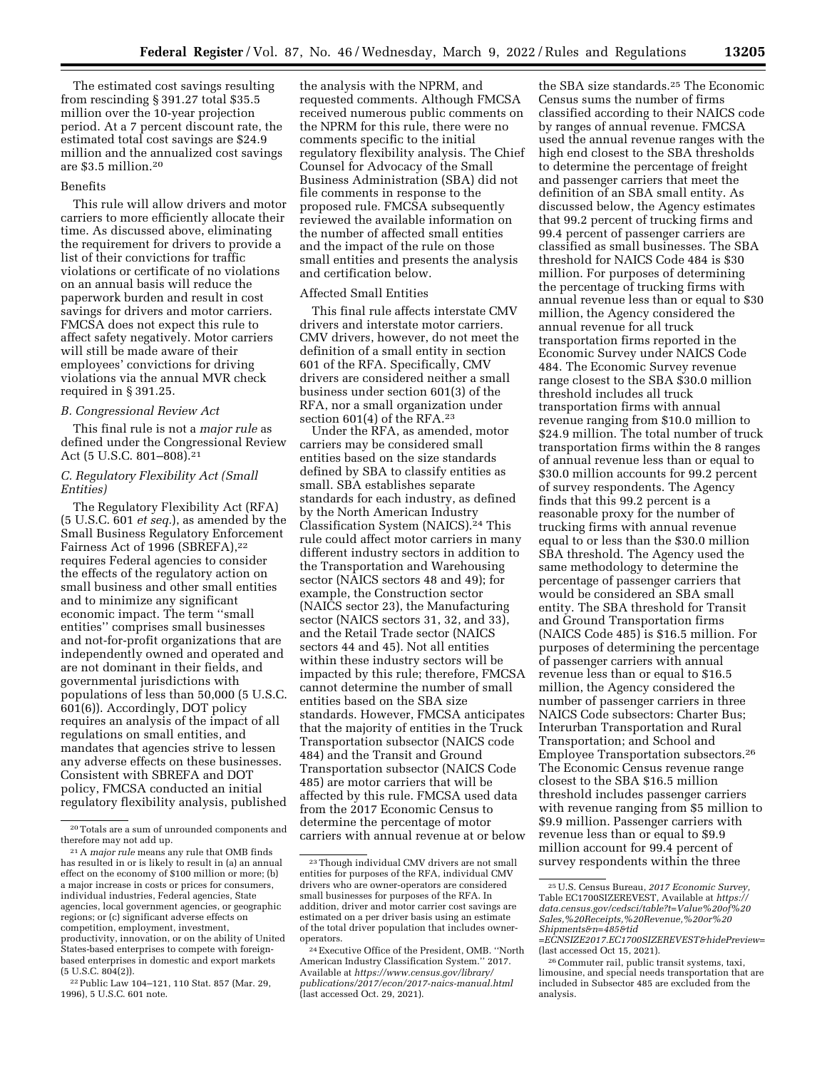The estimated cost savings resulting from rescinding § 391.27 total \$35.5 million over the 10-year projection period. At a 7 percent discount rate, the estimated total cost savings are \$24.9 million and the annualized cost savings are \$3.5 million.20

#### Benefits

This rule will allow drivers and motor carriers to more efficiently allocate their time. As discussed above, eliminating the requirement for drivers to provide a list of their convictions for traffic violations or certificate of no violations on an annual basis will reduce the paperwork burden and result in cost savings for drivers and motor carriers. FMCSA does not expect this rule to affect safety negatively. Motor carriers will still be made aware of their employees' convictions for driving violations via the annual MVR check required in § 391.25.

#### *B. Congressional Review Act*

This final rule is not a *major rule* as defined under the Congressional Review Act (5 U.S.C. 801–808).21

## *C. Regulatory Flexibility Act (Small Entities)*

The Regulatory Flexibility Act (RFA) (5 U.S.C. 601 *et seq.*), as amended by the Small Business Regulatory Enforcement Fairness Act of 1996 (SBREFA),22 requires Federal agencies to consider the effects of the regulatory action on small business and other small entities and to minimize any significant economic impact. The term ''small entities'' comprises small businesses and not-for-profit organizations that are independently owned and operated and are not dominant in their fields, and governmental jurisdictions with populations of less than 50,000 (5 U.S.C. 601(6)). Accordingly, DOT policy requires an analysis of the impact of all regulations on small entities, and mandates that agencies strive to lessen any adverse effects on these businesses. Consistent with SBREFA and DOT policy, FMCSA conducted an initial regulatory flexibility analysis, published

22Public Law 104–121, 110 Stat. 857 (Mar. 29, 1996), 5 U.S.C. 601 note.

the analysis with the NPRM, and requested comments. Although FMCSA received numerous public comments on the NPRM for this rule, there were no comments specific to the initial regulatory flexibility analysis. The Chief Counsel for Advocacy of the Small Business Administration (SBA) did not file comments in response to the proposed rule. FMCSA subsequently reviewed the available information on the number of affected small entities and the impact of the rule on those small entities and presents the analysis and certification below.

## Affected Small Entities

This final rule affects interstate CMV drivers and interstate motor carriers. CMV drivers, however, do not meet the definition of a small entity in section 601 of the RFA. Specifically, CMV drivers are considered neither a small business under section 601(3) of the RFA, nor a small organization under section 601(4) of the RFA.23

Under the RFA, as amended, motor carriers may be considered small entities based on the size standards defined by SBA to classify entities as small. SBA establishes separate standards for each industry, as defined by the North American Industry Classification System (NAICS).24 This rule could affect motor carriers in many different industry sectors in addition to the Transportation and Warehousing sector (NAICS sectors 48 and 49); for example, the Construction sector (NAICS sector 23), the Manufacturing sector (NAICS sectors 31, 32, and 33), and the Retail Trade sector (NAICS sectors 44 and 45). Not all entities within these industry sectors will be impacted by this rule; therefore, FMCSA cannot determine the number of small entities based on the SBA size standards. However, FMCSA anticipates that the majority of entities in the Truck Transportation subsector (NAICS code 484) and the Transit and Ground Transportation subsector (NAICS Code 485) are motor carriers that will be affected by this rule. FMCSA used data from the 2017 Economic Census to determine the percentage of motor carriers with annual revenue at or below

the SBA size standards.25 The Economic Census sums the number of firms classified according to their NAICS code by ranges of annual revenue. FMCSA used the annual revenue ranges with the high end closest to the SBA thresholds to determine the percentage of freight and passenger carriers that meet the definition of an SBA small entity. As discussed below, the Agency estimates that 99.2 percent of trucking firms and 99.4 percent of passenger carriers are classified as small businesses. The SBA threshold for NAICS Code 484 is \$30 million. For purposes of determining the percentage of trucking firms with annual revenue less than or equal to \$30 million, the Agency considered the annual revenue for all truck transportation firms reported in the Economic Survey under NAICS Code 484. The Economic Survey revenue range closest to the SBA \$30.0 million threshold includes all truck transportation firms with annual revenue ranging from \$10.0 million to \$24.9 million. The total number of truck transportation firms within the 8 ranges of annual revenue less than or equal to \$30.0 million accounts for 99.2 percent of survey respondents. The Agency finds that this 99.2 percent is a reasonable proxy for the number of trucking firms with annual revenue equal to or less than the \$30.0 million SBA threshold. The Agency used the same methodology to determine the percentage of passenger carriers that would be considered an SBA small entity. The SBA threshold for Transit and Ground Transportation firms (NAICS Code 485) is \$16.5 million. For purposes of determining the percentage of passenger carriers with annual revenue less than or equal to \$16.5 million, the Agency considered the number of passenger carriers in three NAICS Code subsectors: Charter Bus; Interurban Transportation and Rural Transportation; and School and Employee Transportation subsectors.26 The Economic Census revenue range closest to the SBA \$16.5 million threshold includes passenger carriers with revenue ranging from \$5 million to \$9.9 million. Passenger carriers with revenue less than or equal to \$9.9 million account for 99.4 percent of survey respondents within the three

<sup>20</sup>Totals are a sum of unrounded components and therefore may not add up.

<sup>21</sup>A *major rule* means any rule that OMB finds has resulted in or is likely to result in (a) an annual effect on the economy of \$100 million or more; (b) a major increase in costs or prices for consumers, individual industries, Federal agencies, State agencies, local government agencies, or geographic regions; or (c) significant adverse effects on competition, employment, investment, productivity, innovation, or on the ability of United States-based enterprises to compete with foreignbased enterprises in domestic and export markets  $(5 \text{ U.S.C. } 804(2)).$ 

<sup>23</sup>Though individual CMV drivers are not small entities for purposes of the RFA, individual CMV drivers who are owner-operators are considered small businesses for purposes of the RFA. In addition, driver and motor carrier cost savings are estimated on a per driver basis using an estimate of the total driver population that includes owneroperators.

<sup>24</sup>Executive Office of the President, OMB. ''North American Industry Classification System.'' 2017. Available at *[https://www.census.gov/library/](https://www.census.gov/library/publications/2017/econ/2017-naics-manual.html) [publications/2017/econ/2017-naics-manual.html](https://www.census.gov/library/publications/2017/econ/2017-naics-manual.html)*  (last accessed Oct. 29, 2021).

<sup>25</sup>U.S. Census Bureau, *2017 Economic Survey,*  Table EC1700SIZEREVEST, Available at *[https://](https://data.census.gov/cedsci/table?t=Value%20of%20Sales,%20Receipts,%20Revenue,%20or%20Shipments&n=485&tid=ECNSIZE2017.EC1700SIZEREVEST&hidePreview=) [data.census.gov/cedsci/table?t=Value%20of%20](https://data.census.gov/cedsci/table?t=Value%20of%20Sales,%20Receipts,%20Revenue,%20or%20Shipments&n=485&tid=ECNSIZE2017.EC1700SIZEREVEST&hidePreview=) [Sales,%20Receipts,%20Revenue,%20or%20](https://data.census.gov/cedsci/table?t=Value%20of%20Sales,%20Receipts,%20Revenue,%20or%20Shipments&n=485&tid=ECNSIZE2017.EC1700SIZEREVEST&hidePreview=) [Shipments&n=485&tid](https://data.census.gov/cedsci/table?t=Value%20of%20Sales,%20Receipts,%20Revenue,%20or%20Shipments&n=485&tid=ECNSIZE2017.EC1700SIZEREVEST&hidePreview=)*

*[<sup>=</sup>ECNSIZE2017.EC1700SIZEREVEST&hidePreview=](https://data.census.gov/cedsci/table?t=Value%20of%20Sales,%20Receipts,%20Revenue,%20or%20Shipments&n=485&tid=ECNSIZE2017.EC1700SIZEREVEST&hidePreview=)* 

<sup>&</sup>lt;sup>26</sup> Commuter rail, public transit systems, taxi, limousine, and special needs transportation that are included in Subsector 485 are excluded from the analysis.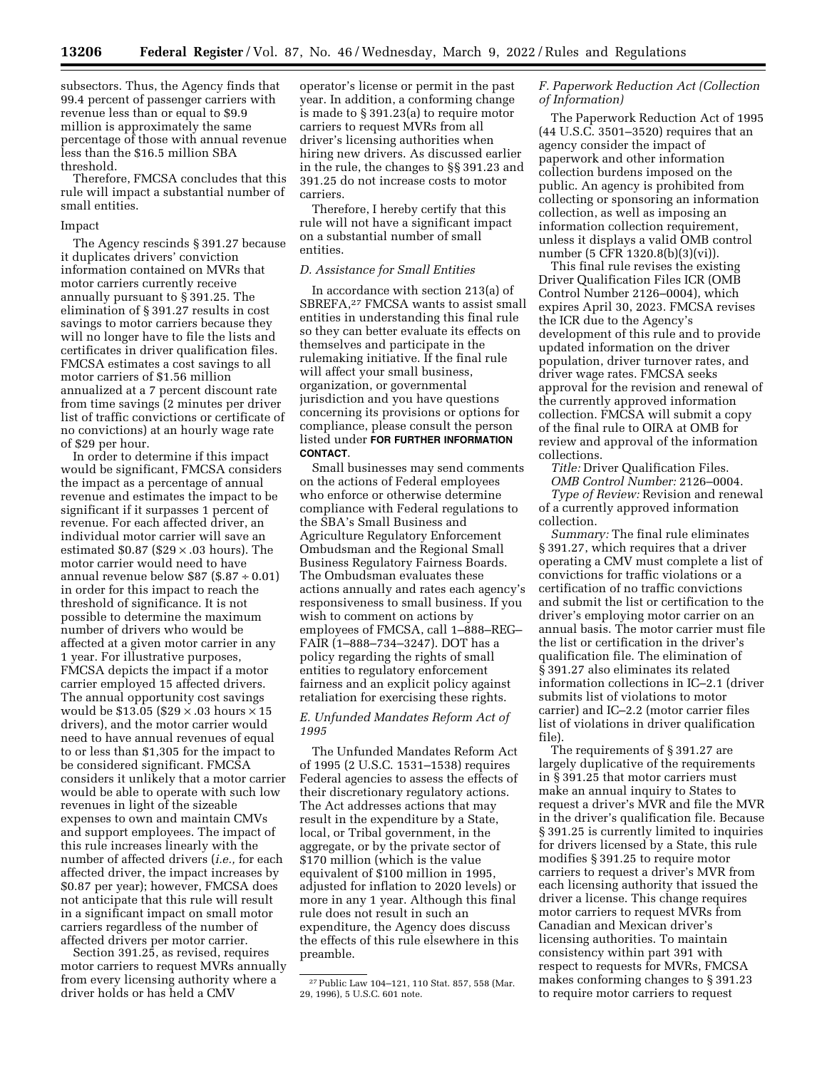subsectors. Thus, the Agency finds that 99.4 percent of passenger carriers with revenue less than or equal to \$9.9 million is approximately the same percentage of those with annual revenue less than the \$16.5 million SBA threshold.

Therefore, FMCSA concludes that this rule will impact a substantial number of small entities.

#### Impact

The Agency rescinds § 391.27 because it duplicates drivers' conviction information contained on MVRs that motor carriers currently receive annually pursuant to § 391.25. The elimination of § 391.27 results in cost savings to motor carriers because they will no longer have to file the lists and certificates in driver qualification files. FMCSA estimates a cost savings to all motor carriers of \$1.56 million annualized at a 7 percent discount rate from time savings (2 minutes per driver list of traffic convictions or certificate of no convictions) at an hourly wage rate of \$29 per hour.

In order to determine if this impact would be significant, FMCSA considers the impact as a percentage of annual revenue and estimates the impact to be significant if it surpasses 1 percent of revenue. For each affected driver, an individual motor carrier will save an estimated  $$0.87$  ( $$29 \times .03$  hours). The motor carrier would need to have annual revenue below  $$87 ($.87 \div 0.01)$ in order for this impact to reach the threshold of significance. It is not possible to determine the maximum number of drivers who would be affected at a given motor carrier in any 1 year. For illustrative purposes, FMCSA depicts the impact if a motor carrier employed 15 affected drivers. The annual opportunity cost savings would be \$13.05 (\$29  $\times$  .03 hours  $\times$  15 drivers), and the motor carrier would need to have annual revenues of equal to or less than \$1,305 for the impact to be considered significant. FMCSA considers it unlikely that a motor carrier would be able to operate with such low revenues in light of the sizeable expenses to own and maintain CMVs and support employees. The impact of this rule increases linearly with the number of affected drivers (*i.e.,* for each affected driver, the impact increases by \$0.87 per year); however, FMCSA does not anticipate that this rule will result in a significant impact on small motor carriers regardless of the number of affected drivers per motor carrier.

Section 391.25, as revised, requires motor carriers to request MVRs annually from every licensing authority where a driver holds or has held a CMV

operator's license or permit in the past year. In addition, a conforming change is made to § 391.23(a) to require motor carriers to request MVRs from all driver's licensing authorities when hiring new drivers. As discussed earlier in the rule, the changes to §§ 391.23 and 391.25 do not increase costs to motor carriers.

Therefore, I hereby certify that this rule will not have a significant impact on a substantial number of small entities.

#### *D. Assistance for Small Entities*

In accordance with section 213(a) of SBREFA,27 FMCSA wants to assist small entities in understanding this final rule so they can better evaluate its effects on themselves and participate in the rulemaking initiative. If the final rule will affect your small business, organization, or governmental jurisdiction and you have questions concerning its provisions or options for compliance, please consult the person listed under **FOR FURTHER INFORMATION CONTACT**.

Small businesses may send comments on the actions of Federal employees who enforce or otherwise determine compliance with Federal regulations to the SBA's Small Business and Agriculture Regulatory Enforcement Ombudsman and the Regional Small Business Regulatory Fairness Boards. The Ombudsman evaluates these actions annually and rates each agency's responsiveness to small business. If you wish to comment on actions by employees of FMCSA, call 1–888–REG– FAIR (1–888–734–3247). DOT has a policy regarding the rights of small entities to regulatory enforcement fairness and an explicit policy against retaliation for exercising these rights.

## *E. Unfunded Mandates Reform Act of 1995*

The Unfunded Mandates Reform Act of 1995 (2 U.S.C. 1531–1538) requires Federal agencies to assess the effects of their discretionary regulatory actions. The Act addresses actions that may result in the expenditure by a State, local, or Tribal government, in the aggregate, or by the private sector of \$170 million (which is the value equivalent of \$100 million in 1995, adjusted for inflation to 2020 levels) or more in any 1 year. Although this final rule does not result in such an expenditure, the Agency does discuss the effects of this rule elsewhere in this preamble.

## *F. Paperwork Reduction Act (Collection of Information)*

The Paperwork Reduction Act of 1995 (44 U.S.C. 3501–3520) requires that an agency consider the impact of paperwork and other information collection burdens imposed on the public. An agency is prohibited from collecting or sponsoring an information collection, as well as imposing an information collection requirement, unless it displays a valid OMB control number (5 CFR 1320.8(b)(3)(vi)).

This final rule revises the existing Driver Qualification Files ICR (OMB Control Number 2126–0004), which expires April 30, 2023. FMCSA revises the ICR due to the Agency's development of this rule and to provide updated information on the driver population, driver turnover rates, and driver wage rates. FMCSA seeks approval for the revision and renewal of the currently approved information collection. FMCSA will submit a copy of the final rule to OIRA at OMB for review and approval of the information collections.

*Title:* Driver Qualification Files. *OMB Control Number:* 2126–0004.

*Type of Review:* Revision and renewal of a currently approved information collection.

*Summary:* The final rule eliminates § 391.27, which requires that a driver operating a CMV must complete a list of convictions for traffic violations or a certification of no traffic convictions and submit the list or certification to the driver's employing motor carrier on an annual basis. The motor carrier must file the list or certification in the driver's qualification file. The elimination of § 391.27 also eliminates its related information collections in IC–2.1 (driver submits list of violations to motor carrier) and IC–2.2 (motor carrier files list of violations in driver qualification file).

The requirements of § 391.27 are largely duplicative of the requirements in § 391.25 that motor carriers must make an annual inquiry to States to request a driver's MVR and file the MVR in the driver's qualification file. Because § 391.25 is currently limited to inquiries for drivers licensed by a State, this rule modifies § 391.25 to require motor carriers to request a driver's MVR from each licensing authority that issued the driver a license. This change requires motor carriers to request MVRs from Canadian and Mexican driver's licensing authorities. To maintain consistency within part 391 with respect to requests for MVRs, FMCSA makes conforming changes to § 391.23 to require motor carriers to request

<sup>27</sup>Public Law 104–121, 110 Stat. 857, 558 (Mar. 29, 1996), 5 U.S.C. 601 note.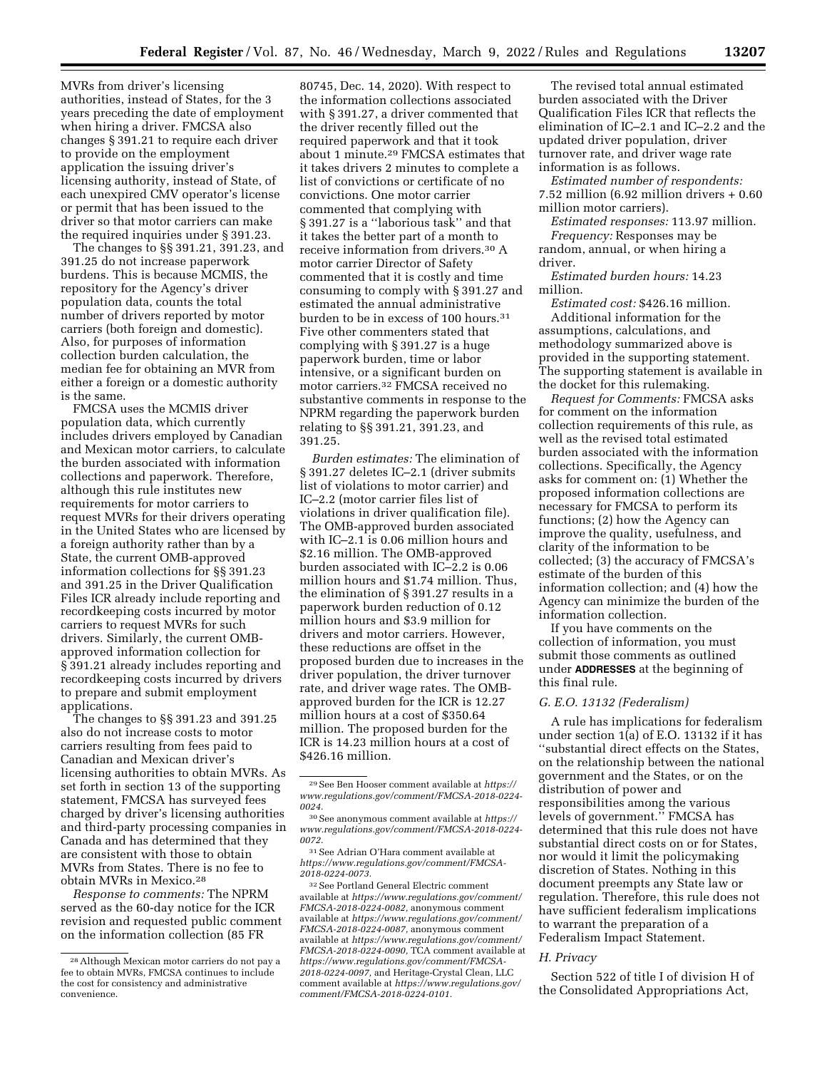MVRs from driver's licensing authorities, instead of States, for the 3 years preceding the date of employment when hiring a driver. FMCSA also changes § 391.21 to require each driver to provide on the employment application the issuing driver's licensing authority, instead of State, of each unexpired CMV operator's license or permit that has been issued to the driver so that motor carriers can make the required inquiries under § 391.23.

The changes to §§ 391.21, 391.23, and 391.25 do not increase paperwork burdens. This is because MCMIS, the repository for the Agency's driver population data, counts the total number of drivers reported by motor carriers (both foreign and domestic). Also, for purposes of information collection burden calculation, the median fee for obtaining an MVR from either a foreign or a domestic authority is the same.

FMCSA uses the MCMIS driver population data, which currently includes drivers employed by Canadian and Mexican motor carriers, to calculate the burden associated with information collections and paperwork. Therefore, although this rule institutes new requirements for motor carriers to request MVRs for their drivers operating in the United States who are licensed by a foreign authority rather than by a State, the current OMB-approved information collections for §§ 391.23 and 391.25 in the Driver Qualification Files ICR already include reporting and recordkeeping costs incurred by motor carriers to request MVRs for such drivers. Similarly, the current OMBapproved information collection for § 391.21 already includes reporting and recordkeeping costs incurred by drivers to prepare and submit employment applications.

The changes to §§ 391.23 and 391.25 also do not increase costs to motor carriers resulting from fees paid to Canadian and Mexican driver's licensing authorities to obtain MVRs. As set forth in section 13 of the supporting statement, FMCSA has surveyed fees charged by driver's licensing authorities and third-party processing companies in Canada and has determined that they are consistent with those to obtain MVRs from States. There is no fee to obtain MVRs in Mexico.28

*Response to comments:* The NPRM served as the 60-day notice for the ICR revision and requested public comment on the information collection (85 FR

80745, Dec. 14, 2020). With respect to the information collections associated with § 391.27, a driver commented that the driver recently filled out the required paperwork and that it took about 1 minute.29 FMCSA estimates that it takes drivers 2 minutes to complete a list of convictions or certificate of no convictions. One motor carrier commented that complying with § 391.27 is a ''laborious task'' and that it takes the better part of a month to receive information from drivers.30 A motor carrier Director of Safety commented that it is costly and time consuming to comply with § 391.27 and estimated the annual administrative burden to be in excess of 100 hours.<sup>31</sup> Five other commenters stated that complying with § 391.27 is a huge paperwork burden, time or labor intensive, or a significant burden on motor carriers.32 FMCSA received no substantive comments in response to the NPRM regarding the paperwork burden relating to §§ 391.21, 391.23, and 391.25.

*Burden estimates:* The elimination of § 391.27 deletes IC–2.1 (driver submits list of violations to motor carrier) and IC–2.2 (motor carrier files list of violations in driver qualification file). The OMB-approved burden associated with IC–2.1 is 0.06 million hours and \$2.16 million. The OMB-approved burden associated with IC–2.2 is 0.06 million hours and \$1.74 million. Thus, the elimination of § 391.27 results in a paperwork burden reduction of 0.12 million hours and \$3.9 million for drivers and motor carriers. However, these reductions are offset in the proposed burden due to increases in the driver population, the driver turnover rate, and driver wage rates. The OMBapproved burden for the ICR is 12.27 million hours at a cost of \$350.64 million. The proposed burden for the ICR is 14.23 million hours at a cost of \$426.16 million.

31See Adrian O'Hara comment available at *[https://www.regulations.gov/comment/FMCSA-](https://www.regulations.gov/comment/FMCSA-2018-0224-0073)[2018-0224-0073.](https://www.regulations.gov/comment/FMCSA-2018-0224-0073)* 

32See Portland General Electric comment available at *[https://www.regulations.gov/comment/](https://www.regulations.gov/comment/FMCSA-2018-0224-0082) [FMCSA-2018-0224-0082,](https://www.regulations.gov/comment/FMCSA-2018-0224-0082)* anonymous comment available at *[https://www.regulations.gov/comment/](https://www.regulations.gov/comment/FMCSA-2018-0224-0087) [FMCSA-2018-0224-0087,](https://www.regulations.gov/comment/FMCSA-2018-0224-0087)* anonymous comment available at *[https://www.regulations.gov/comment/](https://www.regulations.gov/comment/FMCSA-2018-0224-0090) [FMCSA-2018-0224-0090,](https://www.regulations.gov/comment/FMCSA-2018-0224-0090)* TCA comment available at *[https://www.regulations.gov/comment/FMCSA-](https://www.regulations.gov/comment/FMCSA-2018-0224-0097)[2018-0224-0097,](https://www.regulations.gov/comment/FMCSA-2018-0224-0097)* and Heritage-Crystal Clean, LLC comment available at *[https://www.regulations.gov/](https://www.regulations.gov/comment/FMCSA-2018-0224-0101)  [comment/FMCSA-2018-0224-0101.](https://www.regulations.gov/comment/FMCSA-2018-0224-0101)* 

The revised total annual estimated burden associated with the Driver Qualification Files ICR that reflects the elimination of IC–2.1 and IC–2.2 and the updated driver population, driver turnover rate, and driver wage rate information is as follows.

*Estimated number of respondents:*  7.52 million (6.92 million drivers + 0.60 million motor carriers).

*Estimated responses:* 113.97 million. *Frequency:* Responses may be random, annual, or when hiring a driver.

*Estimated burden hours:* 14.23 million.

*Estimated cost:* \$426.16 million. Additional information for the assumptions, calculations, and methodology summarized above is provided in the supporting statement. The supporting statement is available in the docket for this rulemaking.

*Request for Comments:* FMCSA asks for comment on the information collection requirements of this rule, as well as the revised total estimated burden associated with the information collections. Specifically, the Agency asks for comment on: (1) Whether the proposed information collections are necessary for FMCSA to perform its functions; (2) how the Agency can improve the quality, usefulness, and clarity of the information to be collected; (3) the accuracy of FMCSA's estimate of the burden of this information collection; and (4) how the Agency can minimize the burden of the information collection.

If you have comments on the collection of information, you must submit those comments as outlined under **ADDRESSES** at the beginning of this final rule.

#### *G. E.O. 13132 (Federalism)*

A rule has implications for federalism under section  $1(a)$  of E.O. 13132 if it has ''substantial direct effects on the States, on the relationship between the national government and the States, or on the distribution of power and responsibilities among the various levels of government.'' FMCSA has determined that this rule does not have substantial direct costs on or for States, nor would it limit the policymaking discretion of States. Nothing in this document preempts any State law or regulation. Therefore, this rule does not have sufficient federalism implications to warrant the preparation of a Federalism Impact Statement.

#### *H. Privacy*

Section 522 of title I of division H of the Consolidated Appropriations Act,

<sup>28</sup>Although Mexican motor carriers do not pay a fee to obtain MVRs, FMCSA continues to include the cost for consistency and administrative convenience.

<sup>29</sup>See Ben Hooser comment available at *[https://](https://www.regulations.gov/comment/FMCSA-2018-0224-0024) [www.regulations.gov/comment/FMCSA-2018-0224-](https://www.regulations.gov/comment/FMCSA-2018-0224-0024)  [0024.](https://www.regulations.gov/comment/FMCSA-2018-0224-0024)* 

<sup>30</sup>See anonymous comment available at *[https://](https://www.regulations.gov/comment/FMCSA-2018-0224-0072)  [www.regulations.gov/comment/FMCSA-2018-0224-](https://www.regulations.gov/comment/FMCSA-2018-0224-0072)  [0072.](https://www.regulations.gov/comment/FMCSA-2018-0224-0072)*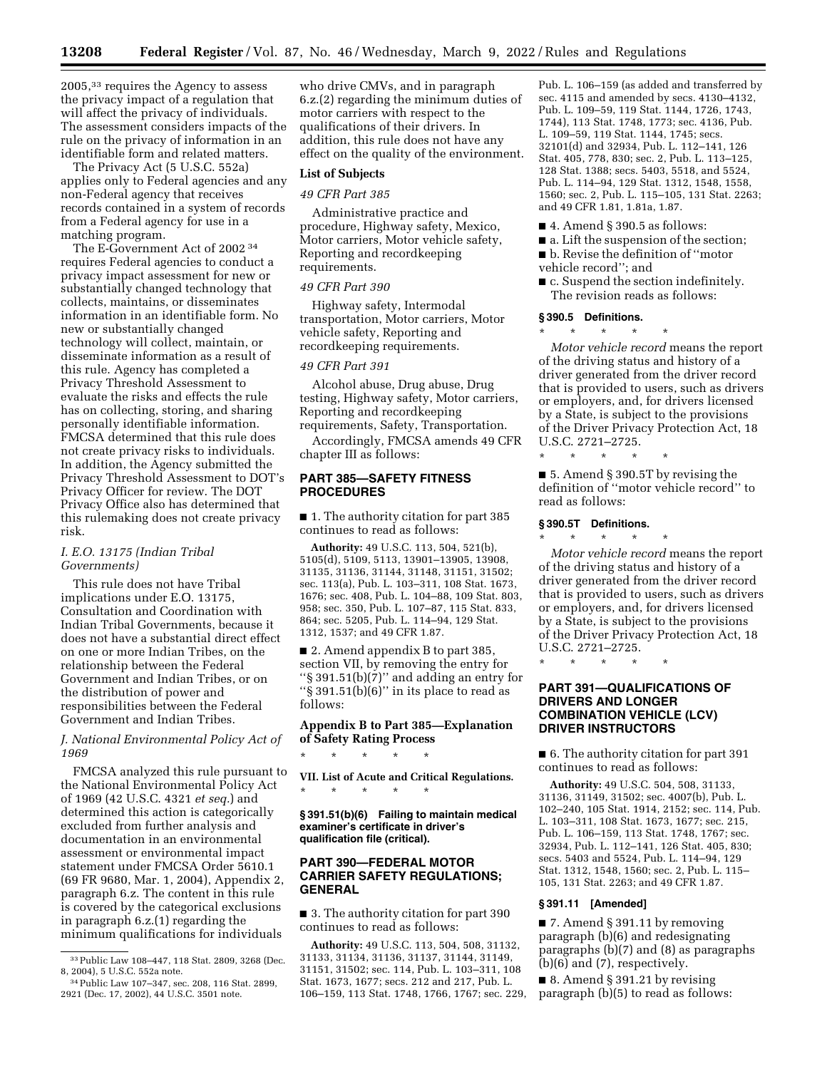2005,33 requires the Agency to assess the privacy impact of a regulation that will affect the privacy of individuals. The assessment considers impacts of the rule on the privacy of information in an identifiable form and related matters.

The Privacy Act (5 U.S.C. 552a) applies only to Federal agencies and any non-Federal agency that receives records contained in a system of records from a Federal agency for use in a matching program.

The E-Government Act of 2002 34 requires Federal agencies to conduct a privacy impact assessment for new or substantially changed technology that collects, maintains, or disseminates information in an identifiable form. No new or substantially changed technology will collect, maintain, or disseminate information as a result of this rule. Agency has completed a Privacy Threshold Assessment to evaluate the risks and effects the rule has on collecting, storing, and sharing personally identifiable information. FMCSA determined that this rule does not create privacy risks to individuals. In addition, the Agency submitted the Privacy Threshold Assessment to DOT's Privacy Officer for review. The DOT Privacy Office also has determined that this rulemaking does not create privacy risk.

## *I. E.O. 13175 (Indian Tribal Governments)*

This rule does not have Tribal implications under E.O. 13175, Consultation and Coordination with Indian Tribal Governments, because it does not have a substantial direct effect on one or more Indian Tribes, on the relationship between the Federal Government and Indian Tribes, or on the distribution of power and responsibilities between the Federal Government and Indian Tribes.

*J. National Environmental Policy Act of 1969* 

FMCSA analyzed this rule pursuant to the National Environmental Policy Act of 1969 (42 U.S.C. 4321 *et seq.*) and determined this action is categorically excluded from further analysis and documentation in an environmental assessment or environmental impact statement under FMCSA Order 5610.1 (69 FR 9680, Mar. 1, 2004), Appendix 2, paragraph 6.z. The content in this rule is covered by the categorical exclusions in paragraph 6.z.(1) regarding the minimum qualifications for individuals

who drive CMVs, and in paragraph 6.z.(2) regarding the minimum duties of motor carriers with respect to the qualifications of their drivers. In addition, this rule does not have any effect on the quality of the environment.

#### **List of Subjects**

#### *49 CFR Part 385*

Administrative practice and procedure, Highway safety, Mexico, Motor carriers, Motor vehicle safety, Reporting and recordkeeping requirements.

#### *49 CFR Part 390*

Highway safety, Intermodal transportation, Motor carriers, Motor vehicle safety, Reporting and recordkeeping requirements.

## *49 CFR Part 391*

Alcohol abuse, Drug abuse, Drug testing, Highway safety, Motor carriers, Reporting and recordkeeping requirements, Safety, Transportation.

Accordingly, FMCSA amends 49 CFR chapter III as follows:

## **PART 385—SAFETY FITNESS PROCEDURES**

■ 1. The authority citation for part 385 continues to read as follows:

**Authority:** 49 U.S.C. 113, 504, 521(b), 5105(d), 5109, 5113, 13901–13905, 13908, 31135, 31136, 31144, 31148, 31151, 31502; sec. 113(a), Pub. L. 103–311, 108 Stat. 1673, 1676; sec. 408, Pub. L. 104–88, 109 Stat. 803, 958; sec. 350, Pub. L. 107–87, 115 Stat. 833, 864; sec. 5205, Pub. L. 114–94, 129 Stat. 1312, 1537; and 49 CFR 1.87.

■ 2. Amend appendix B to part 385, section VII, by removing the entry for ''§ 391.51(b)(7)'' and adding an entry for ''§ 391.51(b)(6)'' in its place to read as follows:

## **Appendix B to Part 385—Explanation of Safety Rating Process**

\* \* \* \* \*

**VII. List of Acute and Critical Regulations.**  \* \* \* \* \*

**§ 391.51(b)(6) Failing to maintain medical examiner's certificate in driver's qualification file (critical).** 

## **PART 390—FEDERAL MOTOR CARRIER SAFETY REGULATIONS; GENERAL**

■ 3. The authority citation for part 390 continues to read as follows:

**Authority:** 49 U.S.C. 113, 504, 508, 31132, 31133, 31134, 31136, 31137, 31144, 31149, 31151, 31502; sec. 114, Pub. L. 103–311, 108 Stat. 1673, 1677; secs. 212 and 217, Pub. L. 106–159, 113 Stat. 1748, 1766, 1767; sec. 229, Pub. L. 106–159 (as added and transferred by sec. 4115 and amended by secs. 4130–4132, Pub. L. 109–59, 119 Stat. 1144, 1726, 1743, 1744), 113 Stat. 1748, 1773; sec. 4136, Pub. L. 109–59, 119 Stat. 1144, 1745; secs. 32101(d) and 32934, Pub. L. 112–141, 126 Stat. 405, 778, 830; sec. 2, Pub. L. 113–125, 128 Stat. 1388; secs. 5403, 5518, and 5524, Pub. L. 114–94, 129 Stat. 1312, 1548, 1558, 1560; sec. 2, Pub. L. 115–105, 131 Stat. 2263; and 49 CFR 1.81, 1.81a, 1.87.

- $\blacksquare$  4. Amend § 390.5 as follows:
- a. Lift the suspension of the section; ■ b. Revise the definition of "motor
- vehicle record''; and
- c. Suspend the section indefinitely. The revision reads as follows:

#### **§ 390.5 Definitions.**

\* \* \* \* \* *Motor vehicle record* means the report of the driving status and history of a driver generated from the driver record that is provided to users, such as drivers or employers, and, for drivers licensed by a State, is subject to the provisions of the Driver Privacy Protection Act, 18 U.S.C. 2721–2725.

■ 5. Amend § 390.5T by revising the definition of ''motor vehicle record'' to read as follows:

#### **§ 390.5T Definitions.**

\* \* \* \* \*

\* \* \* \* \* *Motor vehicle record* means the report of the driving status and history of a driver generated from the driver record that is provided to users, such as drivers or employers, and, for drivers licensed by a State, is subject to the provisions of the Driver Privacy Protection Act, 18 U.S.C. 2721–2725.

\* \* \* \* \*

## **PART 391—QUALIFICATIONS OF DRIVERS AND LONGER COMBINATION VEHICLE (LCV) DRIVER INSTRUCTORS**

■ 6. The authority citation for part 391 continues to read as follows:

**Authority:** 49 U.S.C. 504, 508, 31133, 31136, 31149, 31502; sec. 4007(b), Pub. L. 102–240, 105 Stat. 1914, 2152; sec. 114, Pub. L. 103–311, 108 Stat. 1673, 1677; sec. 215, Pub. L. 106–159, 113 Stat. 1748, 1767; sec. 32934, Pub. L. 112–141, 126 Stat. 405, 830; secs. 5403 and 5524, Pub. L. 114–94, 129 Stat. 1312, 1548, 1560; sec. 2, Pub. L. 115– 105, 131 Stat. 2263; and 49 CFR 1.87.

#### **§ 391.11 [Amended]**

 $\blacksquare$  7. Amend § 391.11 by removing paragraph (b)(6) and redesignating paragraphs (b)(7) and (8) as paragraphs (b)(6) and (7), respectively.

 $\blacksquare$  8. Amend § 391.21 by revising paragraph (b)(5) to read as follows:

<sup>33</sup>Public Law 108–447, 118 Stat. 2809, 3268 (Dec. 8, 2004), 5 U.S.C. 552a note.

<sup>34</sup>Public Law 107–347, sec. 208, 116 Stat. 2899, 2921 (Dec. 17, 2002), 44 U.S.C. 3501 note.